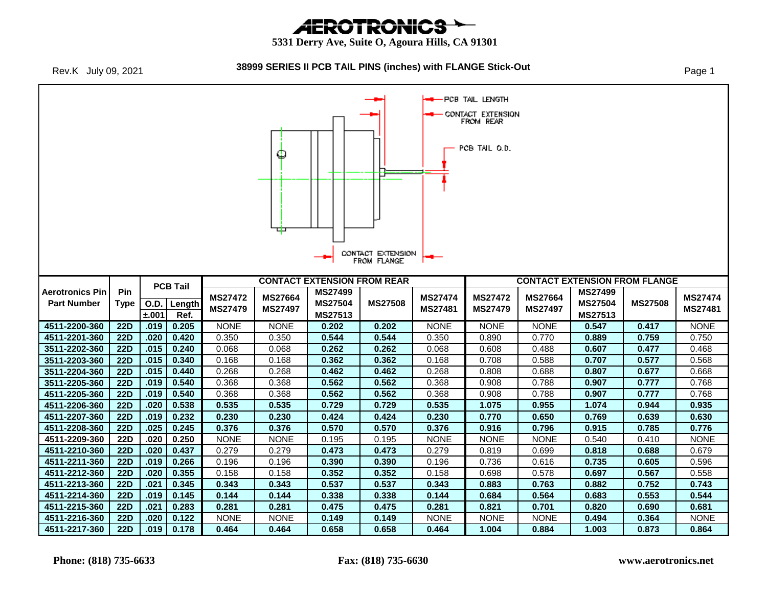# *AEROTRONICS*

#### **5331 Derry Ave, Suite O, Agoura Hills, CA 91301**

Rev.K July 09, 2021

#### **38999 SERIES II PCB TAIL PINS (inches) with FLANGE Stick-Out** Page 1

-PCB TAIL LENGTH CONTACT EXTENSION FROM REAR PCB TAIL O.D. Ф ᄆ CONTACT EXTENSION FROM FLANGE **CONTACT EXTENSION FROM REAR CONTACT EXTENSION FROM FLANGE PCB Tail Aerotronics Pin Pin MS27499 MS27499 MS27472 MS27664 MS27508 MS27474 MS27472 MS27664 MS27508 MS27474 Part Number Type O.D. Length MS27504 MS27504 MS27479 MS27497 MS27481 MS27479 MS27497 MS27481 ±.001 Ref. MS27513 MS27513 4511-2200-360 22D .019 0.205** NONE NONE **0.202 0.202** NONE NONE NONE **0.547 0.417** NONE **4511-2201-360 22D .020 0.420** 0.350 0.350 **0.544 0.544** 0.350 0.890 0.770 **0.889 0.759** 0.750 **3511-2202-360 22D .015 0.240** 0.068 0.068 **0.262 0.262** 0.068 0.608 0.488 **0.607 0.477** 0.468 **3511-2203-360 22D .015 0.340** 0.168 0.168 **0.362 0.362** 0.168 0.708 0.588 **0.707 0.577** 0.568 **3511-2204-360 22D .015 0.440** 0.268 0.268 **0.462 0.462** 0.268 0.808 0.688 **0.807 0.677** 0.668 **3511-2205-360 22D .019 0.540** 0.368 0.368 **0.562 0.562** 0.368 0.908 0.788 **0.907 0.777** 0.768 **4511-2205-360 22D .019 0.540** 0.368 0.368 **0.562 0.562** 0.368 0.908 0.788 **0.907 0.777** 0.768 **4511-2206-360 22D .020 0.538 0.535 0.535 0.729 0.729 0.535 1.075 0.955 1.074 0.944 0.935 4511-2207-360 22D .019 0.232 0.230 0.230 0.424 0.424 0.230 0.770 0.650 0.769 0.639 0.630 4511-2208-360 22D .025 0.245 0.376 0.376 0.570 0.570 0.376 0.916 0.796 0.915 0.785 0.776 4511-2209-360 22D .020 0.250** NONE NONE 0.195 0.195 NONE NONE NONE 0.540 0.410 NONE **4511-2210-360 22D .020 0.437** 0.279 0.279 **0.473 0.473** 0.279 0.819 0.699 **0.818 0.688** 0.679 **4511-2211-360 22D .019 0.266** 0.196 0.196 **0.390 0.390** 0.196 0.736 0.616 **0.735 0.605** 0.596 **4511-2212-360 22D .020 0.355** 0.158 0.158 **0.352 0.352** 0.158 0.698 0.578 **0.697 0.567** 0.558 **4511-2213-360 22D .021 0.345 0.343 0.343 0.537 0.537 0.343 0.883 0.763 0.882 0.752 0.743 4511-2214-360 22D .019 0.145 0.144 0.144 0.338 0.338 0.144 0.684 0.564 0.683 0.553 0.544 4511-2215-360 22D .021 0.283 0.281 0.281 0.475 0.475 0.281 0.821 0.701 0.820 0.690 0.681 4511-2216-360 22D .020 0.122** NONE NONE **0.149 0.149** NONE NONE NONE **0.494 0.364** NONE **4511-2217-360 22D .019 0.178 0.464 0.464 0.658 0.658 0.464 1.004 0.884 1.003 0.873 0.864**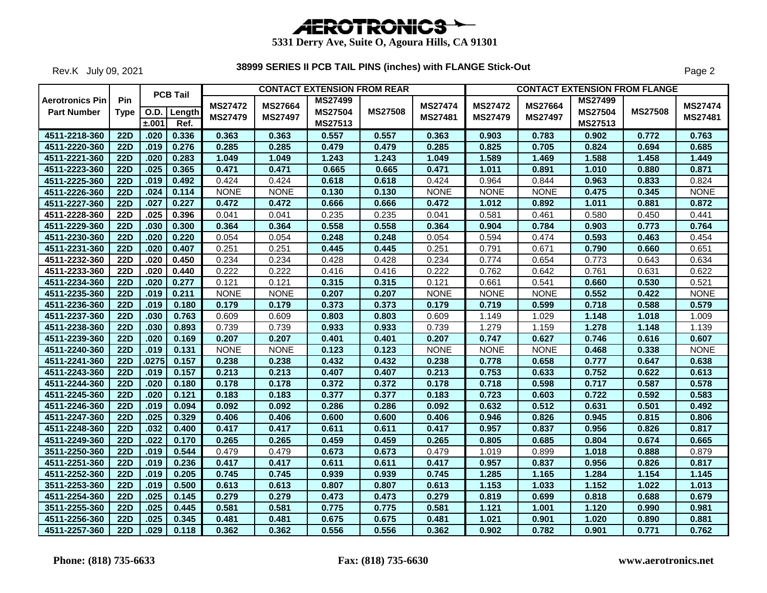

Rev.K July 09, 2021

|                                              |                    |       | <b>PCB Tail</b>       |                                  |                                  | <b>CONTACT EXTENSION FROM REAR</b>          |                |                           |                                  |                           |                                             | <b>CONTACT EXTENSION FROM FLANGE</b> |                           |
|----------------------------------------------|--------------------|-------|-----------------------|----------------------------------|----------------------------------|---------------------------------------------|----------------|---------------------------|----------------------------------|---------------------------|---------------------------------------------|--------------------------------------|---------------------------|
| <b>Aerotronics Pin</b><br><b>Part Number</b> | Pin<br><b>Type</b> | ±.001 | O.D.   Length<br>Ref. | <b>MS27472</b><br><b>MS27479</b> | <b>MS27664</b><br><b>MS27497</b> | <b>MS27499</b><br><b>MS27504</b><br>MS27513 | <b>MS27508</b> | <b>MS27474</b><br>MS27481 | <b>MS27472</b><br><b>MS27479</b> | MS27664<br><b>MS27497</b> | <b>MS27499</b><br><b>MS27504</b><br>MS27513 | <b>MS27508</b>                       | <b>MS27474</b><br>MS27481 |
| 4511-2218-360                                | $\overline{22D}$   | .020  | 0.336                 | 0.363                            | 0.363                            | 0.557                                       | 0.557          | 0.363                     | 0.903                            | 0.783                     | 0.902                                       | 0.772                                | 0.763                     |
| 4511-2220-360                                | <b>22D</b>         | .019  | 0.276                 | 0.285                            | 0.285                            | 0.479                                       | 0.479          | 0.285                     | 0.825                            | 0.705                     | 0.824                                       | 0.694                                | 0.685                     |
| 4511-2221-360                                | <b>22D</b>         | .020  | 0.283                 | 1.049                            | 1.049                            | 1.243                                       | 1.243          | 1.049                     | 1.589                            | 1.469                     | 1.588                                       | 1.458                                | 1.449                     |
| 4511-2223-360                                | 22D                | .025  | 0.365                 | 0.471                            | 0.471                            | 0.665                                       | 0.665          | 0.471                     | 1.011                            | 0.891                     | 1.010                                       | 0.880                                | 0.871                     |
| 4511-2225-360                                | <b>22D</b>         | .019  | 0.492                 | 0.424                            | 0.424                            | 0.618                                       | 0.618          | 0.424                     | 0.964                            | 0.844                     | 0.963                                       | 0.833                                | 0.824                     |
| 4511-2226-360                                | <b>22D</b>         | .024  | 0.114                 | <b>NONE</b>                      | <b>NONE</b>                      | 0.130                                       | 0.130          | <b>NONE</b>               | <b>NONE</b>                      | <b>NONE</b>               | 0.475                                       | 0.345                                | <b>NONE</b>               |
| 4511-2227-360                                | <b>22D</b>         | .027  | 0.227                 | 0.472                            | 0.472                            | 0.666                                       | 0.666          | 0.472                     | 1.012                            | 0.892                     | 1.011                                       | 0.881                                | 0.872                     |
| 4511-2228-360                                | <b>22D</b>         | .025  | 0.396                 | 0.041                            | 0.041                            | 0.235                                       | 0.235          | 0.041                     | 0.581                            | 0.461                     | 0.580                                       | 0.450                                | 0.441                     |
| 4511-2229-360                                | 22D                | .030  | 0.300                 | 0.364                            | 0.364                            | 0.558                                       | 0.558          | 0.364                     | 0.904                            | 0.784                     | 0.903                                       | 0.773                                | 0.764                     |
| 4511-2230-360                                | $\overline{22D}$   | .020  | 0.220                 | 0.054                            | 0.054                            | 0.248                                       | 0.248          | 0.054                     | 0.594                            | 0.474                     | 0.593                                       | 0.463                                | 0.454                     |
| 4511-2231-360                                | <b>22D</b>         | .020  | 0.407                 | 0.251                            | 0.251                            | 0.445                                       | 0.445          | 0.251                     | 0.791                            | 0.671                     | 0.790                                       | 0.660                                | 0.651                     |
| 4511-2232-360                                | <b>22D</b>         | .020  | 0.450                 | 0.234                            | 0.234                            | 0.428                                       | 0.428          | 0.234                     | 0.774                            | 0.654                     | 0.773                                       | 0.643                                | 0.634                     |
| 4511-2233-360                                | <b>22D</b>         | .020  | 0.440                 | 0.222                            | 0.222                            | 0.416                                       | 0.416          | 0.222                     | 0.762                            | 0.642                     | 0.761                                       | 0.631                                | 0.622                     |
| 4511-2234-360                                | 22D                | .020  | 0.277                 | 0.121                            | 0.121                            | 0.315                                       | 0.315          | 0.121                     | 0.661                            | 0.541                     | 0.660                                       | 0.530                                | 0.521                     |
| 4511-2235-360                                | <b>22D</b>         | .019  | 0.211                 | <b>NONE</b>                      | <b>NONE</b>                      | 0.207                                       | 0.207          | <b>NONE</b>               | <b>NONE</b>                      | <b>NONE</b>               | 0.552                                       | 0.422                                | <b>NONE</b>               |
| 4511-2236-360                                | $\overline{22D}$   | .019  | 0.180                 | 0.179                            | 0.179                            | 0.373                                       | 0.373          | 0.179                     | 0.719                            | 0.599                     | 0.718                                       | 0.588                                | 0.579                     |
| 4511-2237-360                                | $\overline{22D}$   | .030  | 0.763                 | 0.609                            | 0.609                            | 0.803                                       | 0.803          | 0.609                     | 1.149                            | 1.029                     | 1.148                                       | 1.018                                | 1.009                     |
| 4511-2238-360                                | 22D                | .030  | 0.893                 | 0.739                            | 0.739                            | 0.933                                       | 0.933          | 0.739                     | 1.279                            | 1.159                     | 1.278                                       | 1.148                                | 1.139                     |
| 4511-2239-360                                | $\overline{22D}$   | .020  | 0.169                 | 0.207                            | 0.207                            | 0.401                                       | 0.401          | 0.207                     | 0.747                            | 0.627                     | 0.746                                       | 0.616                                | 0.607                     |
| 4511-2240-360                                | <b>22D</b>         | .019  | 0.131                 | <b>NONE</b>                      | <b>NONE</b>                      | 0.123                                       | 0.123          | <b>NONE</b>               | <b>NONE</b>                      | <b>NONE</b>               | 0.468                                       | 0.338                                | <b>NONE</b>               |
| 4511-2241-360                                | 22D                | .0275 | 0.157                 | 0.238                            | 0.238                            | 0.432                                       | 0.432          | 0.238                     | 0.778                            | 0.658                     | 0.777                                       | 0.647                                | 0.638                     |
| 4511-2243-360                                | <b>22D</b>         | .019  | 0.157                 | 0.213                            | 0.213                            | 0.407                                       | 0.407          | 0.213                     | 0.753                            | 0.633                     | 0.752                                       | 0.622                                | 0.613                     |
| 4511-2244-360                                | 22D                | .020  | 0.180                 | 0.178                            | 0.178                            | 0.372                                       | 0.372          | 0.178                     | 0.718                            | 0.598                     | 0.717                                       | 0.587                                | 0.578                     |
| 4511-2245-360                                | <b>22D</b>         | .020  | 0.121                 | 0.183                            | 0.183                            | 0.377                                       | 0.377          | 0.183                     | 0.723                            | 0.603                     | 0.722                                       | 0.592                                | 0.583                     |
| 4511-2246-360                                | <b>22D</b>         | .019  | 0.094                 | 0.092                            | 0.092                            | 0.286                                       | 0.286          | 0.092                     | 0.632                            | 0.512                     | 0.631                                       | 0.501                                | 0.492                     |
| 4511-2247-360                                | <b>22D</b>         | .025  | 0.329                 | 0.406                            | 0.406                            | 0.600                                       | 0.600          | 0.406                     | 0.946                            | 0.826                     | 0.945                                       | 0.815                                | 0.806                     |
| 4511-2248-360                                | <b>22D</b>         | .032  | 0.400                 | 0.417                            | 0.417                            | 0.611                                       | 0.611          | 0.417                     | 0.957                            | 0.837                     | 0.956                                       | 0.826                                | 0.817                     |
| 4511-2249-360                                | $\overline{22D}$   | .022  | 0.170                 | 0.265                            | 0.265                            | 0.459                                       | 0.459          | 0.265                     | 0.805                            | 0.685                     | 0.804                                       | 0.674                                | 0.665                     |
| 3511-2250-360                                | <b>22D</b>         | .019  | 0.544                 | 0.479                            | 0.479                            | 0.673                                       | 0.673          | 0.479                     | 1.019                            | 0.899                     | 1.018                                       | 0.888                                | 0.879                     |
| 4511-2251-360                                | <b>22D</b>         | .019  | 0.236                 | 0.417                            | 0.417                            | 0.611                                       | 0.611          | 0.417                     | 0.957                            | 0.837                     | 0.956                                       | 0.826                                | 0.817                     |
| 4511-2252-360                                | $\overline{22D}$   | .019  | 0.205                 | 0.745                            | 0.745                            | 0.939                                       | 0.939          | 0.745                     | 1.285                            | 1.165                     | 1.284                                       | 1.154                                | 1.145                     |
| 3511-2253-360                                | <b>22D</b>         | .019  | 0.500                 | 0.613                            | 0.613                            | 0.807                                       | 0.807          | 0.613                     | 1.153                            | 1.033                     | 1.152                                       | 1.022                                | 1.013                     |
| 4511-2254-360                                | <b>22D</b>         | .025  | 0.145                 | 0.279                            | 0.279                            | 0.473                                       | 0.473          | 0.279                     | 0.819                            | 0.699                     | 0.818                                       | 0.688                                | 0.679                     |
| 3511-2255-360                                | <b>22D</b>         | .025  | 0.445                 | 0.581                            | 0.581                            | 0.775                                       | 0.775          | 0.581                     | 1.121                            | 1.001                     | 1.120                                       | 0.990                                | 0.981                     |
| 4511-2256-360                                | 22D                | .025  | 0.345                 | 0.481                            | 0.481                            | 0.675                                       | 0.675          | 0.481                     | 1.021                            | 0.901                     | 1.020                                       | 0.890                                | 0.881                     |
| 4511-2257-360                                | <b>22D</b>         | .029  | 0.118                 | 0.362                            | 0.362                            | 0.556                                       | 0.556          | 0.362                     | 0.902                            | 0.782                     | 0.901                                       | 0.771                                | 0.762                     |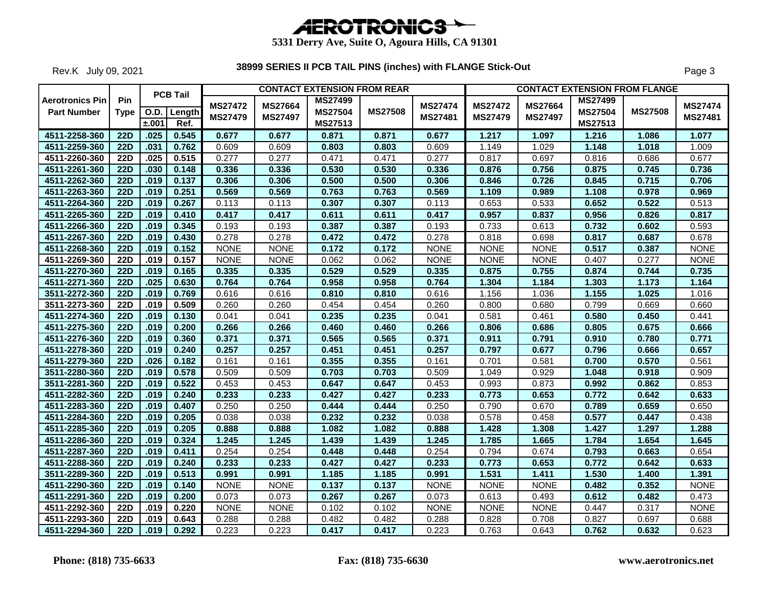

Rev.K July 09, 2021

|                                              |                  |       | <b>PCB Tail</b> |                                  |                                  | <b>CONTACT EXTENSION FROM REAR</b> |                |                           |                                  | <b>CONTACT EXTENSION FROM FLANGE</b> |                                  |                |                           |
|----------------------------------------------|------------------|-------|-----------------|----------------------------------|----------------------------------|------------------------------------|----------------|---------------------------|----------------------------------|--------------------------------------|----------------------------------|----------------|---------------------------|
| <b>Aerotronics Pin</b><br><b>Part Number</b> | Pin<br>Type      |       | O.D. Length     | <b>MS27472</b><br><b>MS27479</b> | <b>MS27664</b><br><b>MS27497</b> | <b>MS27499</b><br><b>MS27504</b>   | <b>MS27508</b> | <b>MS27474</b><br>MS27481 | <b>MS27472</b><br><b>MS27479</b> | <b>MS27664</b><br><b>MS27497</b>     | <b>MS27499</b><br><b>MS27504</b> | <b>MS27508</b> | <b>MS27474</b><br>MS27481 |
|                                              |                  | ±.001 | Ref.            |                                  |                                  | MS27513                            |                |                           |                                  |                                      | <b>MS27513</b>                   |                |                           |
| 4511-2258-360                                | 22D              | .025  | 0.545           | 0.677                            | 0.677                            | 0.871                              | 0.871          | 0.677                     | 1.217                            | 1.097                                | 1.216                            | 1.086          | 1.077                     |
| 4511-2259-360                                | <b>22D</b>       | .031  | 0.762           | 0.609                            | 0.609                            | 0.803                              | 0.803          | 0.609                     | 1.149                            | 1.029                                | 1.148                            | 1.018          | 1.009                     |
| 4511-2260-360                                | <b>22D</b>       | .025  | 0.515           | 0.277                            | 0.277                            | 0.471                              | 0.471          | 0.277                     | 0.817                            | 0.697                                | 0.816                            | 0.686          | 0.677                     |
| 4511-2261-360                                | <b>22D</b>       | .030  | 0.148           | 0.336                            | 0.336                            | 0.530                              | 0.530          | 0.336                     | 0.876                            | 0.756                                | 0.875                            | 0.745          | 0.736                     |
| 4511-2262-360                                | <b>22D</b>       | .019  | 0.137           | 0.306                            | 0.306                            | 0.500                              | 0.500          | 0.306                     | 0.846                            | 0.726                                | 0.845                            | 0.715          | 0.706                     |
| 4511-2263-360                                | <b>22D</b>       | .019  | 0.251           | 0.569                            | 0.569                            | 0.763                              | 0.763          | 0.569                     | 1.109                            | 0.989                                | 1.108                            | 0.978          | 0.969                     |
| 4511-2264-360                                | 22D              | .019  | 0.267           | 0.113                            | 0.113                            | 0.307                              | 0.307          | 0.113                     | 0.653                            | 0.533                                | 0.652                            | 0.522          | 0.513                     |
| 4511-2265-360                                | <b>22D</b>       | .019  | 0.410           | 0.417                            | 0.417                            | 0.611                              | 0.611          | 0.417                     | 0.957                            | 0.837                                | 0.956                            | 0.826          | 0.817                     |
| 4511-2266-360                                | <b>22D</b>       | .019  | 0.345           | 0.193                            | 0.193                            | 0.387                              | 0.387          | 0.193                     | 0.733                            | 0.613                                | 0.732                            | 0.602          | 0.593                     |
| 4511-2267-360                                | $\overline{22D}$ | .019  | 0.430           | 0.278                            | 0.278                            | 0.472                              | 0.472          | 0.278                     | 0.818                            | 0.698                                | 0.817                            | 0.687          | 0.678                     |
| 4511-2268-360                                | <b>22D</b>       | .019  | 0.152           | <b>NONE</b>                      | <b>NONE</b>                      | 0.172                              | 0.172          | <b>NONE</b>               | <b>NONE</b>                      | <b>NONE</b>                          | 0.517                            | 0.387          | <b>NONE</b>               |
| 4511-2269-360                                | <b>22D</b>       | .019  | 0.157           | <b>NONE</b>                      | <b>NONE</b>                      | 0.062                              | 0.062          | <b>NONE</b>               | <b>NONE</b>                      | <b>NONE</b>                          | 0.407                            | 0.277          | <b>NONE</b>               |
| 4511-2270-360                                | 22D              | .019  | 0.165           | 0.335                            | 0.335                            | 0.529                              | 0.529          | 0.335                     | 0.875                            | 0.755                                | 0.874                            | 0.744          | 0.735                     |
| 4511-2271-360                                | 22D              | .025  | 0.630           | 0.764                            | 0.764                            | 0.958                              | 0.958          | 0.764                     | 1.304                            | 1.184                                | 1.303                            | 1.173          | 1.164                     |
| 3511-2272-360                                | <b>22D</b>       | .019  | 0.769           | 0.616                            | 0.616                            | 0.810                              | 0.810          | 0.616                     | 1.156                            | 1.036                                | 1.155                            | 1.025          | 1.016                     |
| 3511-2273-360                                | <b>22D</b>       | .019  | 0.509           | 0.260                            | 0.260                            | 0.454                              | 0.454          | 0.260                     | 0.800                            | 0.680                                | 0.799                            | 0.669          | 0.660                     |
| 4511-2274-360                                | 22D              | .019  | 0.130           | 0.041                            | 0.041                            | 0.235                              | 0.235          | 0.041                     | 0.581                            | 0.461                                | 0.580                            | 0.450          | 0.441                     |
| 4511-2275-360                                | <b>22D</b>       | .019  | 0.200           | 0.266                            | 0.266                            | 0.460                              | 0.460          | 0.266                     | 0.806                            | 0.686                                | 0.805                            | 0.675          | 0.666                     |
| 4511-2276-360                                | 22D              | .019  | 0.360           | 0.371                            | 0.371                            | 0.565                              | 0.565          | 0.371                     | 0.911                            | 0.791                                | 0.910                            | 0.780          | 0.771                     |
| 4511-2278-360                                | <b>22D</b>       | .019  | 0.240           | 0.257                            | 0.257                            | 0.451                              | 0.451          | 0.257                     | 0.797                            | 0.677                                | 0.796                            | 0.666          | 0.657                     |
| 4511-2279-360                                | <b>22D</b>       | .026  | 0.182           | 0.161                            | 0.161                            | 0.355                              | 0.355          | 0.161                     | 0.701                            | 0.581                                | 0.700                            | 0.570          | 0.561                     |
| 3511-2280-360                                | 22D              | .019  | 0.578           | 0.509                            | 0.509                            | 0.703                              | 0.703          | 0.509                     | 1.049                            | 0.929                                | 1.048                            | 0.918          | 0.909                     |
| 3511-2281-360                                | <b>22D</b>       | .019  | 0.522           | 0.453                            | 0.453                            | 0.647                              | 0.647          | 0.453                     | 0.993                            | 0.873                                | 0.992                            | 0.862          | 0.853                     |
| 4511-2282-360                                | 22D              | .019  | 0.240           | 0.233                            | 0.233                            | 0.427                              | 0.427          | 0.233                     | 0.773                            | 0.653                                | 0.772                            | 0.642          | 0.633                     |
| 4511-2283-360                                | <b>22D</b>       | .019  | 0.407           | 0.250                            | 0.250                            | 0.444                              | 0.444          | 0.250                     | 0.790                            | 0.670                                | 0.789                            | 0.659          | 0.650                     |
| 4511-2284-360                                | <b>22D</b>       | .019  | 0.205           | 0.038                            | 0.038                            | 0.232                              | 0.232          | 0.038                     | 0.578                            | 0.458                                | 0.577                            | 0.447          | 0.438                     |
| 4511-2285-360                                | <b>22D</b>       | .019  | 0.205           | 0.888                            | 0.888                            | 1.082                              | 1.082          | 0.888                     | 1.428                            | 1.308                                | 1.427                            | 1.297          | 1.288                     |
| 4511-2286-360                                | 22D              | .019  | 0.324           | 1.245                            | 1.245                            | 1.439                              | 1.439          | 1.245                     | 1.785                            | 1.665                                | 1.784                            | 1.654          | 1.645                     |
| 4511-2287-360                                | <b>22D</b>       | .019  | 0.411           | 0.254                            | 0.254                            | 0.448                              | 0.448          | 0.254                     | 0.794                            | 0.674                                | 0.793                            | 0.663          | 0.654                     |
| 4511-2288-360                                | <b>22D</b>       | .019  | 0.240           | 0.233                            | 0.233                            | 0.427                              | 0.427          | 0.233                     | 0.773                            | 0.653                                | 0.772                            | 0.642          | 0.633                     |
| 3511-2289-360                                | $\overline{22D}$ | .019  | 0.513           | 0.991                            | 0.991                            | 1.185                              | 1.185          | 0.991                     | 1.531                            | 1.411                                | 1.530                            | 1.400          | 1.391                     |
| 4511-2290-360                                | <b>22D</b>       | .019  | 0.140           | <b>NONE</b>                      | <b>NONE</b>                      | 0.137                              | 0.137          | <b>NONE</b>               | <b>NONE</b>                      | <b>NONE</b>                          | 0.482                            | 0.352          | <b>NONE</b>               |
| 4511-2291-360                                | <b>22D</b>       | .019  | 0.200           | 0.073                            | 0.073                            | 0.267                              | 0.267          | 0.073                     | 0.613                            | 0.493                                | 0.612                            | 0.482          | 0.473                     |
| 4511-2292-360                                | <b>22D</b>       | .019  | 0.220           | <b>NONE</b>                      | <b>NONE</b>                      | 0.102                              | 0.102          | <b>NONE</b>               | <b>NONE</b>                      | <b>NONE</b>                          | 0.447                            | 0.317          | <b>NONE</b>               |
| 4511-2293-360                                | <b>22D</b>       | .019  | 0.643           | 0.288                            | 0.288                            | 0.482                              | 0.482          | 0.288                     | 0.828                            | 0.708                                | 0.827                            | 0.697          | 0.688                     |
| 4511-2294-360                                | $\overline{22D}$ | .019  | 0.292           | 0.223                            | 0.223                            | 0.417                              | 0.417          | 0.223                     | 0.763                            | 0.643                                | 0.762                            | 0.632          | 0.623                     |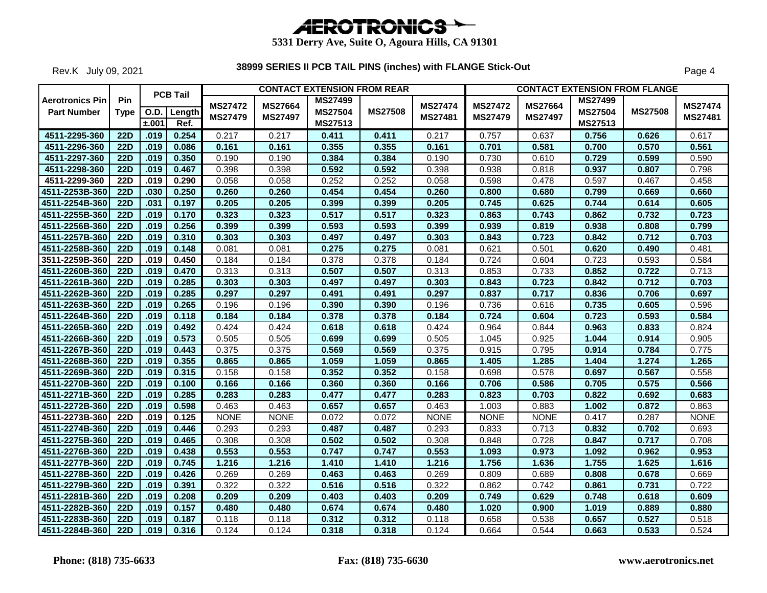

Rev.K July 09, 2021

|                        |                  |       | <b>PCB Tail</b> |                |                | <b>CONTACT EXTENSION FROM REAR</b> |                |                |                |                |                | <b>CONTACT EXTENSION FROM FLANGE</b> |                |
|------------------------|------------------|-------|-----------------|----------------|----------------|------------------------------------|----------------|----------------|----------------|----------------|----------------|--------------------------------------|----------------|
| <b>Aerotronics Pin</b> | <b>Pin</b>       |       |                 |                | <b>MS27664</b> | <b>MS27499</b>                     |                | <b>MS27474</b> | <b>MS27472</b> | MS27664        | <b>MS27499</b> |                                      |                |
| <b>Part Number</b>     | <b>Type</b>      |       | O.D. Length     | <b>MS27472</b> |                | <b>MS27504</b>                     | <b>MS27508</b> |                |                |                | <b>MS27504</b> | <b>MS27508</b>                       | <b>MS27474</b> |
|                        |                  | ±.001 | Ref.            | <b>MS27479</b> | <b>MS27497</b> | MS27513                            |                | MS27481        | <b>MS27479</b> | <b>MS27497</b> | MS27513        |                                      | MS27481        |
| 4511-2295-360          | 22D              | .019  | 0.254           | 0.217          | 0.217          | 0.411                              | 0.411          | 0.217          | 0.757          | 0.637          | 0.756          | 0.626                                | 0.617          |
| 4511-2296-360          | <b>22D</b>       | .019  | 0.086           | 0.161          | 0.161          | 0.355                              | 0.355          | 0.161          | 0.701          | 0.581          | 0.700          | 0.570                                | 0.561          |
| 4511-2297-360          | <b>22D</b>       | .019  | 0.350           | 0.190          | 0.190          | 0.384                              | 0.384          | 0.190          | 0.730          | 0.610          | 0.729          | 0.599                                | 0.590          |
| 4511-2298-360          | <b>22D</b>       | .019  | 0.467           | 0.398          | 0.398          | 0.592                              | 0.592          | 0.398          | 0.938          | 0.818          | 0.937          | 0.807                                | 0.798          |
| 4511-2299-360          | <b>22D</b>       | .019  | 0.290           | 0.058          | 0.058          | 0.252                              | 0.252          | 0.058          | 0.598          | 0.478          | 0.597          | 0.467                                | 0.458          |
| 4511-2253B-360         | 22D              | .030  | 0.250           | 0.260          | 0.260          | 0.454                              | 0.454          | 0.260          | 0.800          | 0.680          | 0.799          | 0.669                                | 0.660          |
| 4511-2254B-360         | <b>22D</b>       | .031  | 0.197           | 0.205          | 0.205          | 0.399                              | 0.399          | 0.205          | 0.745          | 0.625          | 0.744          | 0.614                                | 0.605          |
| 4511-2255B-360         | <b>22D</b>       | .019  | 0.170           | 0.323          | 0.323          | 0.517                              | 0.517          | 0.323          | 0.863          | 0.743          | 0.862          | 0.732                                | 0.723          |
| 4511-2256B-360         | <b>22D</b>       | .019  | 0.256           | 0.399          | 0.399          | 0.593                              | 0.593          | 0.399          | 0.939          | 0.819          | 0.938          | 0.808                                | 0.799          |
| 4511-2257B-360         | $\overline{22D}$ | .019  | 0.310           | 0.303          | 0.303          | 0.497                              | 0.497          | 0.303          | 0.843          | 0.723          | 0.842          | 0.712                                | 0.703          |
| 4511-2258B-360         | 22D              | .019  | 0.148           | 0.081          | 0.081          | 0.275                              | 0.275          | 0.081          | 0.621          | 0.501          | 0.620          | 0.490                                | 0.481          |
| 3511-2259B-360         | <b>22D</b>       | .019  | 0.450           | 0.184          | 0.184          | 0.378                              | 0.378          | 0.184          | 0.724          | 0.604          | 0.723          | 0.593                                | 0.584          |
| 4511-2260B-360         | 22D              | .019  | 0.470           | 0.313          | 0.313          | 0.507                              | 0.507          | 0.313          | 0.853          | 0.733          | 0.852          | 0.722                                | 0.713          |
| 4511-2261B-360         | 22D              | .019  | 0.285           | 0.303          | 0.303          | 0.497                              | 0.497          | 0.303          | 0.843          | 0.723          | 0.842          | 0.712                                | 0.703          |
| 4511-2262B-360         | <b>22D</b>       | .019  | 0.285           | 0.297          | 0.297          | 0.491                              | 0.491          | 0.297          | 0.837          | 0.717          | 0.836          | 0.706                                | 0.697          |
| 4511-2263B-360         | <b>22D</b>       | .019  | 0.265           | 0.196          | 0.196          | 0.390                              | 0.390          | 0.196          | 0.736          | 0.616          | 0.735          | 0.605                                | 0.596          |
| 4511-2264B-360         | 22D              | .019  | 0.118           | 0.184          | 0.184          | 0.378                              | 0.378          | 0.184          | 0.724          | 0.604          | 0.723          | 0.593                                | 0.584          |
| 4511-2265B-360         | <b>22D</b>       | .019  | 0.492           | 0.424          | 0.424          | 0.618                              | 0.618          | 0.424          | 0.964          | 0.844          | 0.963          | 0.833                                | 0.824          |
| 4511-2266B-360         | <b>22D</b>       | .019  | 0.573           | 0.505          | 0.505          | 0.699                              | 0.699          | 0.505          | 1.045          | 0.925          | 1.044          | 0.914                                | 0.905          |
| 4511-2267B-360         | 22D              | .019  | 0.443           | 0.375          | 0.375          | 0.569                              | 0.569          | 0.375          | 0.915          | 0.795          | 0.914          | 0.784                                | 0.775          |
| 4511-2268B-360         | 22D              | .019  | 0.355           | 0.865          | 0.865          | 1.059                              | 1.059          | 0.865          | 1.405          | 1.285          | 1.404          | 1.274                                | 1.265          |
| 4511-2269B-360         | <b>22D</b>       | .019  | 0.315           | 0.158          | 0.158          | 0.352                              | 0.352          | 0.158          | 0.698          | 0.578          | 0.697          | 0.567                                | 0.558          |
| 4511-2270B-360         | 22D              | .019  | 0.100           | 0.166          | 0.166          | 0.360                              | 0.360          | 0.166          | 0.706          | 0.586          | 0.705          | 0.575                                | 0.566          |
| 4511-2271B-360         | $\overline{22D}$ | .019  | 0.285           | 0.283          | 0.283          | 0.477                              | 0.477          | 0.283          | 0.823          | 0.703          | 0.822          | 0.692                                | 0.683          |
| 4511-2272B-360         | <b>22D</b>       | .019  | 0.598           | 0.463          | 0.463          | 0.657                              | 0.657          | 0.463          | 1.003          | 0.883          | 1.002          | 0.872                                | 0.863          |
| 4511-2273B-360         | <b>22D</b>       | .019  | 0.125           | <b>NONE</b>    | <b>NONE</b>    | 0.072                              | 0.072          | <b>NONE</b>    | <b>NONE</b>    | <b>NONE</b>    | 0.417          | 0.287                                | <b>NONE</b>    |
| 4511-2274B-360         | <b>22D</b>       | .019  | 0.446           | 0.293          | 0.293          | 0.487                              | 0.487          | 0.293          | 0.833          | 0.713          | 0.832          | 0.702                                | 0.693          |
| 4511-2275B-360         | 22D              | .019  | 0.465           | 0.308          | 0.308          | 0.502                              | 0.502          | 0.308          | 0.848          | 0.728          | 0.847          | 0.717                                | 0.708          |
| 4511-2276B-360         | <b>22D</b>       | .019  | 0.438           | 0.553          | 0.553          | 0.747                              | 0.747          | 0.553          | 1.093          | 0.973          | 1.092          | 0.962                                | 0.953          |
| 4511-2277B-360         | <b>22D</b>       | .019  | 0.745           | 1.216          | 1.216          | 1.410                              | 1.410          | 1.216          | 1.756          | 1.636          | 1.755          | 1.625                                | 1.616          |
| 4511-2278B-360         | 22D              | .019  | 0.426           | 0.269          | 0.269          | 0.463                              | 0.463          | 0.269          | 0.809          | 0.689          | 0.808          | 0.678                                | 0.669          |
| 4511-2279B-360         | <b>22D</b>       | .019  | 0.391           | 0.322          | 0.322          | 0.516                              | 0.516          | 0.322          | 0.862          | 0.742          | 0.861          | 0.731                                | 0.722          |
| 4511-2281B-360         | <b>22D</b>       | .019  | 0.208           | 0.209          | 0.209          | 0.403                              | 0.403          | 0.209          | 0.749          | 0.629          | 0.748          | 0.618                                | 0.609          |
| 4511-2282B-360         | <b>22D</b>       | .019  | 0.157           | 0.480          | 0.480          | 0.674                              | 0.674          | 0.480          | 1.020          | 0.900          | 1.019          | 0.889                                | 0.880          |
| 4511-2283B-360         | 22D              | .019  | 0.187           | 0.118          | 0.118          | 0.312                              | 0.312          | 0.118          | 0.658          | 0.538          | 0.657          | 0.527                                | 0.518          |
| 4511-2284B-360         | <b>22D</b>       | .019  | 0.316           | 0.124          | 0.124          | 0.318                              | 0.318          | 0.124          | 0.664          | 0.544          | 0.663          | 0.533                                | 0.524          |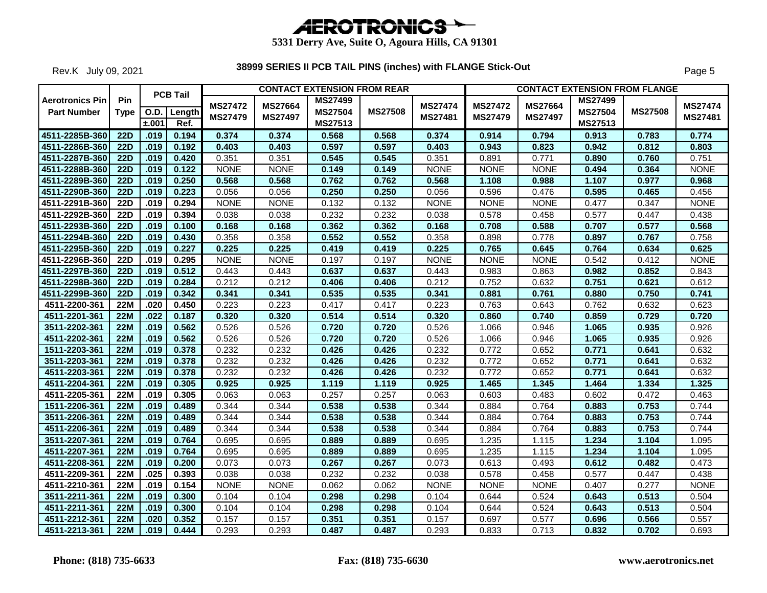

Rev.K July 09, 2021

|                                              |                    |       | <b>PCB Tail</b>     |                           |                                  | <b>CONTACT EXTENSION FROM REAR</b>          |                |                           |                                  | <b>CONTACT EXTENSION FROM FLANGE</b> |                                             |                |                           |
|----------------------------------------------|--------------------|-------|---------------------|---------------------------|----------------------------------|---------------------------------------------|----------------|---------------------------|----------------------------------|--------------------------------------|---------------------------------------------|----------------|---------------------------|
| <b>Aerotronics Pin</b><br><b>Part Number</b> | Pin<br><b>Type</b> | ±.001 | O.D. Length<br>Ref. | <b>MS27472</b><br>MS27479 | <b>MS27664</b><br><b>MS27497</b> | <b>MS27499</b><br><b>MS27504</b><br>MS27513 | <b>MS27508</b> | <b>MS27474</b><br>MS27481 | <b>MS27472</b><br><b>MS27479</b> | <b>MS27664</b><br>MS27497            | <b>MS27499</b><br><b>MS27504</b><br>MS27513 | <b>MS27508</b> | <b>MS27474</b><br>MS27481 |
| 4511-2285B-360                               | 22D                | .019  | 0.194               | 0.374                     | 0.374                            | 0.568                                       | 0.568          | 0.374                     | 0.914                            | 0.794                                | 0.913                                       | 0.783          | 0.774                     |
| 4511-2286B-360                               | <b>22D</b>         | .019  | 0.192               | 0.403                     | 0.403                            | 0.597                                       | 0.597          | 0.403                     | 0.943                            | 0.823                                | 0.942                                       | 0.812          | 0.803                     |
| 4511-2287B-360                               | <b>22D</b>         | .019  | 0.420               | 0.351                     | 0.351                            | 0.545                                       | 0.545          | 0.351                     | 0.891                            | 0.771                                | 0.890                                       | 0.760          | 0.751                     |
| 4511-2288B-360                               | <b>22D</b>         | .019  | 0.122               | <b>NONE</b>               | <b>NONE</b>                      | 0.149                                       | 0.149          | <b>NONE</b>               | <b>NONE</b>                      | <b>NONE</b>                          | 0.494                                       | 0.364          | <b>NONE</b>               |
| 4511-2289B-360                               | <b>22D</b>         | .019  | 0.250               | 0.568                     | 0.568                            | 0.762                                       | 0.762          | 0.568                     | 1.108                            | 0.988                                | 1.107                                       | 0.977          | 0.968                     |
| 4511-2290B-360                               | <b>22D</b>         | .019  | 0.223               | 0.056                     | 0.056                            | 0.250                                       | 0.250          | 0.056                     | 0.596                            | 0.476                                | 0.595                                       | 0.465          | 0.456                     |
| 4511-2291B-360                               | <b>22D</b>         | .019  | 0.294               | <b>NONE</b>               | <b>NONE</b>                      | 0.132                                       | 0.132          | <b>NONE</b>               | <b>NONE</b>                      | <b>NONE</b>                          | 0.477                                       | 0.347          | <b>NONE</b>               |
| 4511-2292B-360                               | <b>22D</b>         | .019  | 0.394               | 0.038                     | 0.038                            | 0.232                                       | 0.232          | 0.038                     | 0.578                            | 0.458                                | 0.577                                       | 0.447          | 0.438                     |
| 4511-2293B-360                               | <b>22D</b>         | .019  | 0.100               | 0.168                     | 0.168                            | 0.362                                       | 0.362          | 0.168                     | 0.708                            | 0.588                                | 0.707                                       | 0.577          | 0.568                     |
| 4511-2294B-360                               | <b>22D</b>         | .019  | 0.430               | 0.358                     | 0.358                            | 0.552                                       | 0.552          | 0.358                     | 0.898                            | 0.778                                | 0.897                                       | 0.767          | 0.758                     |
| 4511-2295B-360                               | <b>22D</b>         | .019  | 0.227               | 0.225                     | 0.225                            | 0.419                                       | 0.419          | 0.225                     | 0.765                            | 0.645                                | 0.764                                       | 0.634          | 0.625                     |
| 4511-2296B-360                               | <b>22D</b>         | .019  | 0.295               | <b>NONE</b>               | <b>NONE</b>                      | 0.197                                       | 0.197          | <b>NONE</b>               | <b>NONE</b>                      | <b>NONE</b>                          | 0.542                                       | 0.412          | <b>NONE</b>               |
| 4511-2297B-360                               | 22D                | .019  | 0.512               | 0.443                     | 0.443                            | 0.637                                       | 0.637          | 0.443                     | 0.983                            | 0.863                                | 0.982                                       | 0.852          | 0.843                     |
| 4511-2298B-360                               | <b>22D</b>         | .019  | 0.284               | 0.212                     | 0.212                            | 0.406                                       | 0.406          | 0.212                     | 0.752                            | 0.632                                | 0.751                                       | 0.621          | 0.612                     |
| 4511-2299B-360                               | 22D                | .019  | 0.342               | 0.341                     | 0.341                            | 0.535                                       | 0.535          | 0.341                     | 0.881                            | 0.761                                | 0.880                                       | 0.750          | 0.741                     |
| 4511-2200-361                                | 22M                | .020  | 0.450               | 0.223                     | 0.223                            | 0.417                                       | 0.417          | 0.223                     | 0.763                            | 0.643                                | 0.762                                       | 0.632          | 0.623                     |
| 4511-2201-361                                | <b>22M</b>         | .022  | 0.187               | 0.320                     | 0.320                            | 0.514                                       | 0.514          | 0.320                     | 0.860                            | 0.740                                | 0.859                                       | 0.729          | 0.720                     |
| 3511-2202-361                                | 22M                | .019  | 0.562               | 0.526                     | 0.526                            | 0.720                                       | 0.720          | 0.526                     | 1.066                            | 0.946                                | 1.065                                       | 0.935          | 0.926                     |
| 4511-2202-361                                | <b>22M</b>         | .019  | 0.562               | 0.526                     | 0.526                            | 0.720                                       | 0.720          | 0.526                     | 1.066                            | 0.946                                | 1.065                                       | 0.935          | 0.926                     |
| 1511-2203-361                                | <b>22M</b>         | .019  | 0.378               | 0.232                     | 0.232                            | 0.426                                       | 0.426          | 0.232                     | 0.772                            | 0.652                                | 0.771                                       | 0.641          | 0.632                     |
| 3511-2203-361                                | <b>22M</b>         | .019  | 0.378               | 0.232                     | 0.232                            | 0.426                                       | 0.426          | 0.232                     | 0.772                            | 0.652                                | 0.771                                       | 0.641          | 0.632                     |
| 4511-2203-361                                | 22M                | .019  | 0.378               | 0.232                     | 0.232                            | 0.426                                       | 0.426          | 0.232                     | 0.772                            | 0.652                                | 0.771                                       | 0.641          | 0.632                     |
| 4511-2204-361                                | <b>22M</b>         | .019  | 0.305               | 0.925                     | 0.925                            | 1.119                                       | 1.119          | 0.925                     | 1.465                            | 1.345                                | 1.464                                       | 1.334          | 1.325                     |
| 4511-2205-361                                | <b>22M</b>         | .019  | 0.305               | 0.063                     | 0.063                            | 0.257                                       | 0.257          | 0.063                     | 0.603                            | 0.483                                | 0.602                                       | 0.472          | 0.463                     |
| 1511-2206-361                                | <b>22M</b>         | .019  | 0.489               | 0.344                     | 0.344                            | 0.538                                       | 0.538          | 0.344                     | 0.884                            | 0.764                                | 0.883                                       | 0.753          | 0.744                     |
| 3511-2206-361                                | <b>22M</b>         | .019  | 0.489               | 0.344                     | 0.344                            | 0.538                                       | 0.538          | 0.344                     | 0.884                            | 0.764                                | 0.883                                       | 0.753          | 0.744                     |
| 4511-2206-361                                | 22M                | .019  | 0.489               | 0.344                     | 0.344                            | 0.538                                       | 0.538          | 0.344                     | 0.884                            | 0.764                                | 0.883                                       | 0.753          | 0.744                     |
| 3511-2207-361                                | <b>22M</b>         | .019  | 0.764               | 0.695                     | 0.695                            | 0.889                                       | 0.889          | 0.695                     | 1.235                            | 1.115                                | 1.234                                       | 1.104          | 1.095                     |
| 4511-2207-361                                | 22M                | .019  | 0.764               | 0.695                     | 0.695                            | 0.889                                       | 0.889          | 0.695                     | 1.235                            | 1.115                                | 1.234                                       | 1.104          | 1.095                     |
| 4511-2208-361                                | <b>22M</b>         | .019  | 0.200               | 0.073                     | 0.073                            | 0.267                                       | 0.267          | 0.073                     | 0.613                            | 0.493                                | 0.612                                       | 0.482          | 0.473                     |
| 4511-2209-361                                | <b>22M</b>         | .025  | 0.393               | 0.038                     | 0.038                            | 0.232                                       | 0.232          | 0.038                     | 0.578                            | 0.458                                | 0.577                                       | 0.447          | 0.438                     |
| 4511-2210-361                                | <b>22M</b>         | .019  | 0.154               | <b>NONE</b>               | <b>NONE</b>                      | 0.062                                       | 0.062          | <b>NONE</b>               | <b>NONE</b>                      | <b>NONE</b>                          | 0.407                                       | 0.277          | <b>NONE</b>               |
| 3511-2211-361                                | <b>22M</b>         | .019  | 0.300               | 0.104                     | 0.104                            | 0.298                                       | 0.298          | 0.104                     | 0.644                            | 0.524                                | 0.643                                       | 0.513          | 0.504                     |
| 4511-2211-361                                | <b>22M</b>         | .019  | 0.300               | 0.104                     | 0.104                            | 0.298                                       | 0.298          | 0.104                     | 0.644                            | 0.524                                | 0.643                                       | 0.513          | 0.504                     |
| 4511-2212-361                                | <b>22M</b>         | .020  | 0.352               | 0.157                     | 0.157                            | 0.351                                       | 0.351          | 0.157                     | 0.697                            | 0.577                                | 0.696                                       | 0.566          | 0.557                     |
| 4511-2213-361                                | 22M                | .019  | 0.444               | 0.293                     | 0.293                            | 0.487                                       | 0.487          | 0.293                     | 0.833                            | 0.713                                | 0.832                                       | 0.702          | 0.693                     |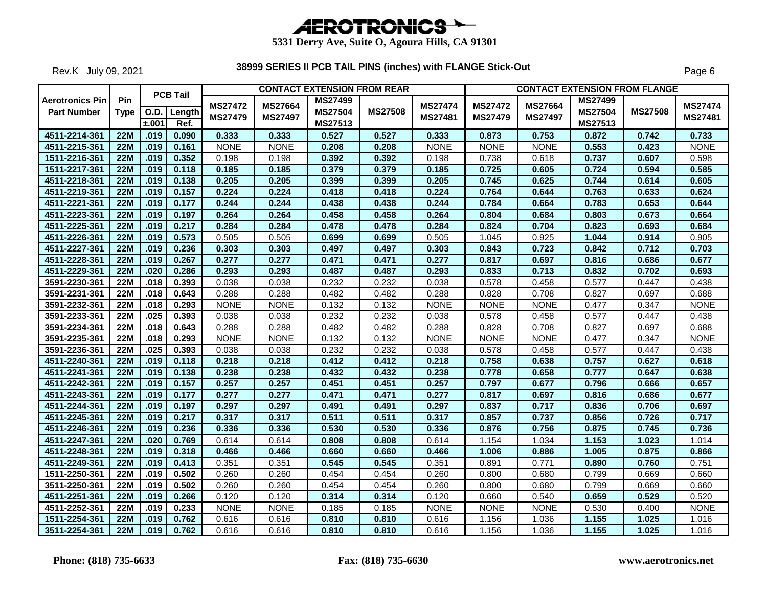

Rev.K July 09, 2021

|                                              |                    |       | <b>PCB Tail</b>     |                                  |                                  | <b>CONTACT EXTENSION FROM REAR</b>          |                |                           |                                  |                                  |                                                    | <b>CONTACT EXTENSION FROM FLANGE</b> |                           |
|----------------------------------------------|--------------------|-------|---------------------|----------------------------------|----------------------------------|---------------------------------------------|----------------|---------------------------|----------------------------------|----------------------------------|----------------------------------------------------|--------------------------------------|---------------------------|
| <b>Aerotronics Pin</b><br><b>Part Number</b> | Pin<br><b>Type</b> | ±.001 | O.D. Length<br>Ref. | <b>MS27472</b><br><b>MS27479</b> | <b>MS27664</b><br><b>MS27497</b> | <b>MS27499</b><br><b>MS27504</b><br>MS27513 | <b>MS27508</b> | <b>MS27474</b><br>MS27481 | <b>MS27472</b><br><b>MS27479</b> | <b>MS27664</b><br><b>MS27497</b> | <b>MS27499</b><br><b>MS27504</b><br><b>MS27513</b> | <b>MS27508</b>                       | <b>MS27474</b><br>MS27481 |
| 4511-2214-361                                | 22M                | .019  | 0.090               | 0.333                            | 0.333                            | 0.527                                       | 0.527          | 0.333                     | 0.873                            | 0.753                            | 0.872                                              | 0.742                                | 0.733                     |
| 4511-2215-361                                | <b>22M</b>         | .019  | 0.161               | <b>NONE</b>                      | <b>NONE</b>                      | 0.208                                       | 0.208          | <b>NONE</b>               | <b>NONE</b>                      | <b>NONE</b>                      | 0.553                                              | 0.423                                | <b>NONE</b>               |
| 1511-2216-361                                | <b>22M</b>         | .019  | 0.352               | 0.198                            | 0.198                            | 0.392                                       | 0.392          | 0.198                     | 0.738                            | 0.618                            | 0.737                                              | 0.607                                | 0.598                     |
| 1511-2217-361                                | <b>22M</b>         | .019  | 0.118               | 0.185                            | 0.185                            | 0.379                                       | 0.379          | 0.185                     | 0.725                            | 0.605                            | 0.724                                              | 0.594                                | 0.585                     |
| 4511-2218-361                                | <b>22M</b>         | .019  | 0.138               | 0.205                            | 0.205                            | 0.399                                       | 0.399          | 0.205                     | 0.745                            | 0.625                            | 0.744                                              | 0.614                                | 0.605                     |
| 4511-2219-361                                | <b>22M</b>         | .019  | 0.157               | 0.224                            | 0.224                            | 0.418                                       | 0.418          | 0.224                     | 0.764                            | 0.644                            | 0.763                                              | 0.633                                | 0.624                     |
| 4511-2221-361                                | <b>22M</b>         | .019  | 0.177               | 0.244                            | 0.244                            | 0.438                                       | 0.438          | 0.244                     | 0.784                            | 0.664                            | 0.783                                              | 0.653                                | 0.644                     |
| 4511-2223-361                                | <b>22M</b>         | .019  | 0.197               | 0.264                            | 0.264                            | 0.458                                       | 0.458          | 0.264                     | 0.804                            | 0.684                            | 0.803                                              | 0.673                                | 0.664                     |
| 4511-2225-361                                | 22M                | .019  | 0.217               | 0.284                            | 0.284                            | 0.478                                       | 0.478          | 0.284                     | 0.824                            | 0.704                            | 0.823                                              | 0.693                                | 0.684                     |
| 4511-2226-361                                | 22M                | .019  | 0.573               | 0.505                            | 0.505                            | 0.699                                       | 0.699          | 0.505                     | 1.045                            | 0.925                            | 1.044                                              | 0.914                                | 0.905                     |
| 4511-2227-361                                | <b>22M</b>         | .019  | 0.236               | 0.303                            | 0.303                            | 0.497                                       | 0.497          | 0.303                     | 0.843                            | 0.723                            | 0.842                                              | 0.712                                | 0.703                     |
| 4511-2228-361                                | <b>22M</b>         | .019  | 0.267               | 0.277                            | 0.277                            | 0.471                                       | 0.471          | 0.277                     | 0.817                            | 0.697                            | 0.816                                              | 0.686                                | 0.677                     |
| 4511-2229-361                                | 22M                | .020  | 0.286               | 0.293                            | 0.293                            | 0.487                                       | 0.487          | 0.293                     | 0.833                            | 0.713                            | 0.832                                              | 0.702                                | 0.693                     |
| 3591-2230-361                                | <b>22M</b>         | .018  | 0.393               | 0.038                            | 0.038                            | 0.232                                       | 0.232          | 0.038                     | 0.578                            | 0.458                            | 0.577                                              | 0.447                                | 0.438                     |
| 3591-2231-361                                | <b>22M</b>         | .018  | 0.643               | 0.288                            | 0.288                            | 0.482                                       | 0.482          | 0.288                     | 0.828                            | 0.708                            | 0.827                                              | 0.697                                | 0.688                     |
| 3591-2232-361                                | 22M                | .018  | 0.293               | <b>NONE</b>                      | <b>NONE</b>                      | 0.132                                       | 0.132          | <b>NONE</b>               | <b>NONE</b>                      | <b>NONE</b>                      | 0.477                                              | 0.347                                | <b>NONE</b>               |
| 3591-2233-361                                | <b>22M</b>         | .025  | 0.393               | 0.038                            | 0.038                            | 0.232                                       | 0.232          | 0.038                     | 0.578                            | 0.458                            | 0.577                                              | 0.447                                | 0.438                     |
| 3591-2234-361                                | <b>22M</b>         | .018  | 0.643               | 0.288                            | 0.288                            | 0.482                                       | 0.482          | 0.288                     | 0.828                            | 0.708                            | 0.827                                              | 0.697                                | 0.688                     |
| 3591-2235-361                                | <b>22M</b>         | .018  | 0.293               | <b>NONE</b>                      | <b>NONE</b>                      | 0.132                                       | 0.132          | <b>NONE</b>               | <b>NONE</b>                      | <b>NONE</b>                      | 0.477                                              | 0.347                                | <b>NONE</b>               |
| 3591-2236-361                                | <b>22M</b>         | .025  | 0.393               | 0.038                            | 0.038                            | 0.232                                       | 0.232          | 0.038                     | 0.578                            | 0.458                            | 0.577                                              | 0.447                                | 0.438                     |
| 4511-2240-361                                | <b>22M</b>         | .019  | 0.118               | 0.218                            | 0.218                            | 0.412                                       | 0.412          | 0.218                     | 0.758                            | 0.638                            | 0.757                                              | 0.627                                | 0.618                     |
| 4511-2241-361                                | 22M                | .019  | 0.138               | 0.238                            | 0.238                            | 0.432                                       | 0.432          | 0.238                     | 0.778                            | 0.658                            | 0.777                                              | 0.647                                | 0.638                     |
| 4511-2242-361                                | <b>22M</b>         | .019  | 0.157               | 0.257                            | 0.257                            | 0.451                                       | 0.451          | 0.257                     | 0.797                            | 0.677                            | 0.796                                              | 0.666                                | 0.657                     |
| 4511-2243-361                                | 22M                | .019  | 0.177               | 0.277                            | 0.277                            | 0.471                                       | 0.471          | 0.277                     | 0.817                            | 0.697                            | 0.816                                              | 0.686                                | 0.677                     |
| 4511-2244-361                                | <b>22M</b>         | .019  | 0.197               | 0.297                            | 0.297                            | 0.491                                       | 0.491          | 0.297                     | 0.837                            | 0.717                            | 0.836                                              | 0.706                                | 0.697                     |
| 4511-2245-361                                | <b>22M</b>         | .019  | 0.217               | 0.317                            | 0.317                            | 0.511                                       | 0.511          | 0.317                     | 0.857                            | 0.737                            | 0.856                                              | 0.726                                | 0.717                     |
| 4511-2246-361                                | <b>22M</b>         | .019  | 0.236               | 0.336                            | 0.336                            | 0.530                                       | 0.530          | 0.336                     | 0.876                            | 0.756                            | 0.875                                              | 0.745                                | 0.736                     |
| 4511-2247-361                                | <b>22M</b>         | .020  | 0.769               | 0.614                            | 0.614                            | 0.808                                       | 0.808          | 0.614                     | 1.154                            | 1.034                            | 1.153                                              | 1.023                                | 1.014                     |
| 4511-2248-361                                | <b>22M</b>         | .019  | 0.318               | 0.466                            | 0.466                            | 0.660                                       | 0.660          | 0.466                     | 1.006                            | 0.886                            | 1.005                                              | 0.875                                | 0.866                     |
| 4511-2249-361                                | 22M                | .019  | 0.413               | 0.351                            | 0.351                            | 0.545                                       | 0.545          | 0.351                     | 0.891                            | 0.771                            | 0.890                                              | 0.760                                | 0.751                     |
| 1511-2250-361                                | <b>22M</b>         | .019  | 0.502               | 0.260                            | 0.260                            | 0.454                                       | 0.454          | 0.260                     | 0.800                            | 0.680                            | 0.799                                              | 0.669                                | 0.660                     |
| 3511-2250-361                                | <b>22M</b>         | .019  | 0.502               | 0.260                            | 0.260                            | 0.454                                       | 0.454          | 0.260                     | 0.800                            | 0.680                            | 0.799                                              | 0.669                                | 0.660                     |
| 4511-2251-361                                | <b>22M</b>         | .019  | 0.266               | 0.120                            | 0.120                            | 0.314                                       | 0.314          | 0.120                     | 0.660                            | 0.540                            | 0.659                                              | 0.529                                | 0.520                     |
| 4511-2252-361                                | <b>22M</b>         | .019  | 0.233               | <b>NONE</b>                      | <b>NONE</b>                      | 0.185                                       | 0.185          | <b>NONE</b>               | <b>NONE</b>                      | <b>NONE</b>                      | 0.530                                              | 0.400                                | <b>NONE</b>               |
| 1511-2254-361                                | <b>22M</b>         | .019  | 0.762               | 0.616                            | 0.616                            | 0.810                                       | 0.810          | 0.616                     | 1.156                            | 1.036                            | 1.155                                              | 1.025                                | 1.016                     |
| 3511-2254-361                                | 22M                | .019  | 0.762               | 0.616                            | 0.616                            | 0.810                                       | 0.810          | 0.616                     | 1.156                            | 1.036                            | 1.155                                              | 1.025                                | 1.016                     |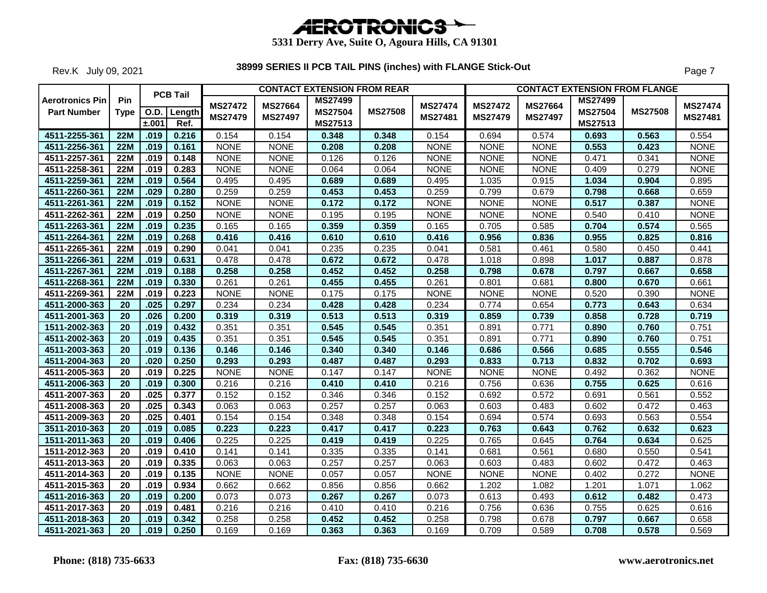

Rev.K July 09, 2021

|                        |                 |       | <b>PCB Tail</b> |                |                | <b>CONTACT EXTENSION FROM REAR</b> |                |                |                |                | <b>CONTACT EXTENSION FROM FLANGE</b> |                |                           |
|------------------------|-----------------|-------|-----------------|----------------|----------------|------------------------------------|----------------|----------------|----------------|----------------|--------------------------------------|----------------|---------------------------|
| <b>Aerotronics Pin</b> | Pin             |       |                 | <b>MS27472</b> | <b>MS27664</b> | <b>MS27499</b>                     |                | <b>MS27474</b> | <b>MS27472</b> | <b>MS27664</b> | <b>MS27499</b>                       |                |                           |
| <b>Part Number</b>     | <b>Type</b>     |       | O.D. Length     | <b>MS27479</b> | <b>MS27497</b> | <b>MS27504</b>                     | <b>MS27508</b> | MS27481        | <b>MS27479</b> | <b>MS27497</b> | <b>MS27504</b>                       | <b>MS27508</b> | <b>MS27474</b><br>MS27481 |
|                        |                 | ±.001 | Ref.            |                |                | MS27513                            |                |                |                |                | <b>MS27513</b>                       |                |                           |
| 4511-2255-361          | 22M             | .019  | 0.216           | 0.154          | 0.154          | 0.348                              | 0.348          | 0.154          | 0.694          | 0.574          | 0.693                                | 0.563          | 0.554                     |
| 4511-2256-361          | <b>22M</b>      | .019  | 0.161           | <b>NONE</b>    | <b>NONE</b>    | 0.208                              | 0.208          | <b>NONE</b>    | <b>NONE</b>    | <b>NONE</b>    | 0.553                                | 0.423          | <b>NONE</b>               |
| 4511-2257-361          | <b>22M</b>      | .019  | 0.148           | <b>NONE</b>    | <b>NONE</b>    | 0.126                              | 0.126          | <b>NONE</b>    | <b>NONE</b>    | <b>NONE</b>    | 0.471                                | 0.341          | <b>NONE</b>               |
| 4511-2258-361          | <b>22M</b>      | .019  | 0.283           | <b>NONE</b>    | <b>NONE</b>    | 0.064                              | 0.064          | <b>NONE</b>    | <b>NONE</b>    | <b>NONE</b>    | 0.409                                | 0.279          | <b>NONE</b>               |
| 4511-2259-361          | <b>22M</b>      | .019  | 0.564           | 0.495          | 0.495          | 0.689                              | 0.689          | 0.495          | 1.035          | 0.915          | 1.034                                | 0.904          | 0.895                     |
| 4511-2260-361          | <b>22M</b>      | .029  | 0.280           | 0.259          | 0.259          | 0.453                              | 0.453          | 0.259          | 0.799          | 0.679          | 0.798                                | 0.668          | 0.659                     |
| 4511-2261-361          | <b>22M</b>      | .019  | 0.152           | <b>NONE</b>    | <b>NONE</b>    | 0.172                              | 0.172          | <b>NONE</b>    | <b>NONE</b>    | <b>NONE</b>    | 0.517                                | 0.387          | <b>NONE</b>               |
| 4511-2262-361          | <b>22M</b>      | .019  | 0.250           | <b>NONE</b>    | <b>NONE</b>    | 0.195                              | 0.195          | <b>NONE</b>    | <b>NONE</b>    | <b>NONE</b>    | 0.540                                | 0.410          | <b>NONE</b>               |
| 4511-2263-361          | 22M             | .019  | 0.235           | 0.165          | 0.165          | 0.359                              | 0.359          | 0.165          | 0.705          | 0.585          | 0.704                                | 0.574          | 0.565                     |
| 4511-2264-361          | 22M             | .019  | 0.268           | 0.416          | 0.416          | 0.610                              | 0.610          | 0.416          | 0.956          | 0.836          | 0.955                                | 0.825          | 0.816                     |
| 4511-2265-361          | <b>22M</b>      | .019  | 0.290           | 0.041          | 0.041          | 0.235                              | 0.235          | 0.041          | 0.581          | 0.461          | 0.580                                | 0.450          | 0.441                     |
| 3511-2266-361          | <b>22M</b>      | .019  | 0.631           | 0.478          | 0.478          | 0.672                              | 0.672          | 0.478          | 1.018          | 0.898          | 1.017                                | 0.887          | 0.878                     |
| 4511-2267-361          | <b>22M</b>      | .019  | 0.188           | 0.258          | 0.258          | 0.452                              | 0.452          | 0.258          | 0.798          | 0.678          | 0.797                                | 0.667          | 0.658                     |
| 4511-2268-361          | 22M             | .019  | 0.330           | 0.261          | 0.261          | 0.455                              | 0.455          | 0.261          | 0.801          | 0.681          | 0.800                                | 0.670          | 0.661                     |
| 4511-2269-361          | <b>22M</b>      | .019  | 0.223           | <b>NONE</b>    | <b>NONE</b>    | 0.175                              | 0.175          | <b>NONE</b>    | <b>NONE</b>    | <b>NONE</b>    | 0.520                                | 0.390          | <b>NONE</b>               |
| 4511-2000-363          | 20              | .025  | 0.297           | 0.234          | 0.234          | 0.428                              | 0.428          | 0.234          | 0.774          | 0.654          | 0.773                                | 0.643          | 0.634                     |
| 4511-2001-363          | $\overline{20}$ | .026  | 0.200           | 0.319          | 0.319          | 0.513                              | 0.513          | 0.319          | 0.859          | 0.739          | 0.858                                | 0.728          | 0.719                     |
| 1511-2002-363          | 20              | .019  | 0.432           | 0.351          | 0.351          | 0.545                              | 0.545          | 0.351          | 0.891          | 0.771          | 0.890                                | 0.760          | 0.751                     |
| 4511-2002-363          | $\overline{20}$ | .019  | 0.435           | 0.351          | 0.351          | 0.545                              | 0.545          | 0.351          | 0.891          | 0.771          | 0.890                                | 0.760          | 0.751                     |
| 4511-2003-363          | 20              | .019  | 0.136           | 0.146          | 0.146          | 0.340                              | 0.340          | 0.146          | 0.686          | 0.566          | 0.685                                | 0.555          | 0.546                     |
| 4511-2004-363          | $\overline{20}$ | .020  | 0.250           | 0.293          | 0.293          | 0.487                              | 0.487          | 0.293          | 0.833          | 0.713          | 0.832                                | 0.702          | 0.693                     |
| 4511-2005-363          | $\overline{20}$ | .019  | 0.225           | <b>NONE</b>    | <b>NONE</b>    | 0.147                              | 0.147          | <b>NONE</b>    | <b>NONE</b>    | <b>NONE</b>    | 0.492                                | 0.362          | <b>NONE</b>               |
| 4511-2006-363          | 20              | .019  | 0.300           | 0.216          | 0.216          | 0.410                              | 0.410          | 0.216          | 0.756          | 0.636          | 0.755                                | 0.625          | 0.616                     |
| 4511-2007-363          | 20              | .025  | 0.377           | 0.152          | 0.152          | 0.346                              | 0.346          | 0.152          | 0.692          | 0.572          | 0.691                                | 0.561          | 0.552                     |
| 4511-2008-363          | 20              | .025  | 0.343           | 0.063          | 0.063          | 0.257                              | 0.257          | 0.063          | 0.603          | 0.483          | 0.602                                | 0.472          | 0.463                     |
| 4511-2009-363          | 20              | .025  | 0.401           | 0.154          | 0.154          | 0.348                              | 0.348          | 0.154          | 0.694          | 0.574          | 0.693                                | 0.563          | 0.554                     |
| 3511-2010-363          | 20              | .019  | 0.085           | 0.223          | 0.223          | 0.417                              | 0.417          | 0.223          | 0.763          | 0.643          | 0.762                                | 0.632          | 0.623                     |
| 1511-2011-363          | 20              | .019  | 0.406           | 0.225          | 0.225          | 0.419                              | 0.419          | 0.225          | 0.765          | 0.645          | 0.764                                | 0.634          | 0.625                     |
| 1511-2012-363          | 20              | .019  | 0.410           | 0.141          | 0.141          | 0.335                              | 0.335          | 0.141          | 0.681          | 0.561          | 0.680                                | 0.550          | 0.541                     |
| 4511-2013-363          | 20              | .019  | 0.335           | 0.063          | 0.063          | 0.257                              | 0.257          | 0.063          | 0.603          | 0.483          | 0.602                                | 0.472          | 0.463                     |
| 4511-2014-363          | 20              | .019  | 0.135           | <b>NONE</b>    | <b>NONE</b>    | 0.057                              | 0.057          | <b>NONE</b>    | <b>NONE</b>    | <b>NONE</b>    | 0.402                                | 0.272          | <b>NONE</b>               |
| 4511-2015-363          | 20              | .019  | 0.934           | 0.662          | 0.662          | 0.856                              | 0.856          | 0.662          | 1.202          | 1.082          | 1.201                                | 1.071          | 1.062                     |
| 4511-2016-363          | 20              | .019  | 0.200           | 0.073          | 0.073          | 0.267                              | 0.267          | 0.073          | 0.613          | 0.493          | 0.612                                | 0.482          | 0.473                     |
| 4511-2017-363          | 20              | .019  | 0.481           | 0.216          | 0.216          | 0.410                              | 0.410          | 0.216          | 0.756          | 0.636          | 0.755                                | 0.625          | 0.616                     |
| 4511-2018-363          | 20              | .019  | 0.342           | 0.258          | 0.258          | 0.452                              | 0.452          | 0.258          | 0.798          | 0.678          | 0.797                                | 0.667          | 0.658                     |
| 4511-2021-363          | $\overline{20}$ | .019  | 0.250           | 0.169          | 0.169          | 0.363                              | 0.363          | 0.169          | 0.709          | 0.589          | 0.708                                | 0.578          | 0.569                     |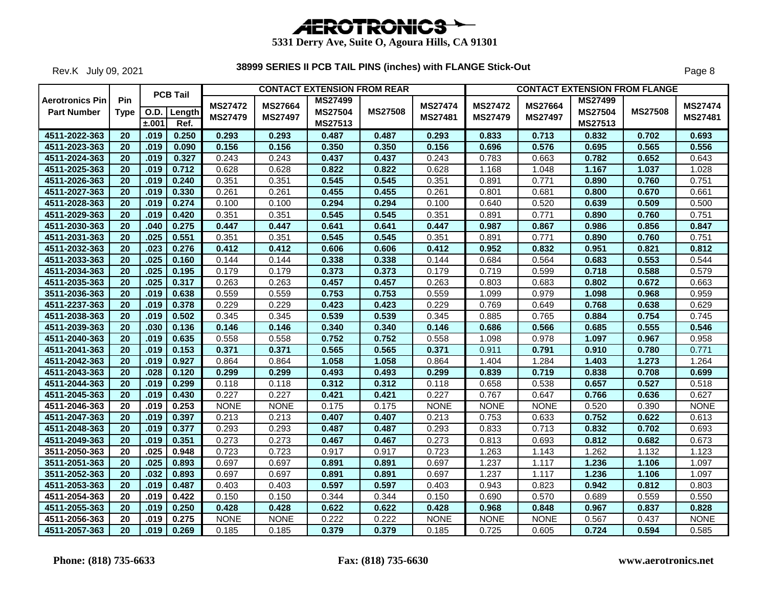

Rev.K July 09, 2021

|                        |                 |       | <b>PCB Tail</b> |                |                | <b>CONTACT EXTENSION FROM REAR</b> |                |                |                |                |                | <b>CONTACT EXTENSION FROM FLANGE</b> |                |
|------------------------|-----------------|-------|-----------------|----------------|----------------|------------------------------------|----------------|----------------|----------------|----------------|----------------|--------------------------------------|----------------|
| <b>Aerotronics Pin</b> | Pin             |       |                 | <b>MS27472</b> | <b>MS27664</b> | <b>MS27499</b>                     |                | <b>MS27474</b> | <b>MS27472</b> | <b>MS27664</b> | <b>MS27499</b> |                                      | <b>MS27474</b> |
| <b>Part Number</b>     | <b>Type</b>     |       | O.D. Length     | <b>MS27479</b> | <b>MS27497</b> | <b>MS27504</b>                     | <b>MS27508</b> | MS27481        | <b>MS27479</b> | <b>MS27497</b> | <b>MS27504</b> | <b>MS27508</b>                       | MS27481        |
|                        |                 | ±.001 | Ref.            |                |                | MS27513                            |                |                |                |                | <b>MS27513</b> |                                      |                |
| 4511-2022-363          | $\overline{20}$ | .019  | 0.250           | 0.293          | 0.293          | 0.487                              | 0.487          | 0.293          | 0.833          | 0.713          | 0.832          | 0.702                                | 0.693          |
| 4511-2023-363          | 20              | .019  | 0.090           | 0.156          | 0.156          | 0.350                              | 0.350          | 0.156          | 0.696          | 0.576          | 0.695          | 0.565                                | 0.556          |
| 4511-2024-363          | 20              | .019  | 0.327           | 0.243          | 0.243          | 0.437                              | 0.437          | 0.243          | 0.783          | 0.663          | 0.782          | 0.652                                | 0.643          |
| 4511-2025-363          | 20              | .019  | 0.712           | 0.628          | 0.628          | 0.822                              | 0.822          | 0.628          | 1.168          | 1.048          | 1.167          | 1.037                                | 1.028          |
| 4511-2026-363          | 20              | .019  | 0.240           | 0.351          | 0.351          | 0.545                              | 0.545          | 0.351          | 0.891          | 0.771          | 0.890          | 0.760                                | 0.751          |
| 4511-2027-363          | 20              | .019  | 0.330           | 0.261          | 0.261          | 0.455                              | 0.455          | 0.261          | 0.801          | 0.681          | 0.800          | 0.670                                | 0.661          |
| 4511-2028-363          | 20              | .019  | 0.274           | 0.100          | 0.100          | 0.294                              | 0.294          | 0.100          | 0.640          | 0.520          | 0.639          | 0.509                                | 0.500          |
| 4511-2029-363          | 20              | .019  | 0.420           | 0.351          | 0.351          | 0.545                              | 0.545          | 0.351          | 0.891          | 0.771          | 0.890          | 0.760                                | 0.751          |
| 4511-2030-363          | 20              | .040  | 0.275           | 0.447          | 0.447          | 0.641                              | 0.641          | 0.447          | 0.987          | 0.867          | 0.986          | 0.856                                | 0.847          |
| 4511-2031-363          | 20              | .025  | 0.551           | 0.351          | 0.351          | 0.545                              | 0.545          | 0.351          | 0.891          | 0.771          | 0.890          | 0.760                                | 0.751          |
| 4511-2032-363          | 20              | .023  | 0.276           | 0.412          | 0.412          | 0.606                              | 0.606          | 0.412          | 0.952          | 0.832          | 0.951          | 0.821                                | 0.812          |
| 4511-2033-363          | 20              | .025  | 0.160           | 0.144          | 0.144          | 0.338                              | 0.338          | 0.144          | 0.684          | 0.564          | 0.683          | 0.553                                | 0.544          |
| 4511-2034-363          | $\overline{20}$ | .025  | 0.195           | 0.179          | 0.179          | 0.373                              | 0.373          | 0.179          | 0.719          | 0.599          | 0.718          | 0.588                                | 0.579          |
| 4511-2035-363          | $\overline{20}$ | .025  | 0.317           | 0.263          | 0.263          | 0.457                              | 0.457          | 0.263          | 0.803          | 0.683          | 0.802          | 0.672                                | 0.663          |
| 3511-2036-363          | 20              | .019  | 0.638           | 0.559          | 0.559          | 0.753                              | 0.753          | 0.559          | 1.099          | 0.979          | 1.098          | 0.968                                | 0.959          |
| 4511-2237-363          | $\overline{20}$ | .019  | 0.378           | 0.229          | 0.229          | 0.423                              | 0.423          | 0.229          | 0.769          | 0.649          | 0.768          | 0.638                                | 0.629          |
| 4511-2038-363          | $\overline{20}$ | .019  | 0.502           | 0.345          | 0.345          | 0.539                              | 0.539          | 0.345          | 0.885          | 0.765          | 0.884          | 0.754                                | 0.745          |
| 4511-2039-363          | 20              | .030  | 0.136           | 0.146          | 0.146          | 0.340                              | 0.340          | 0.146          | 0.686          | 0.566          | 0.685          | 0.555                                | 0.546          |
| 4511-2040-363          | 20              | .019  | 0.635           | 0.558          | 0.558          | 0.752                              | 0.752          | 0.558          | 1.098          | 0.978          | 1.097          | 0.967                                | 0.958          |
| 4511-2041-363          | $\overline{20}$ | .019  | 0.153           | 0.371          | 0.371          | 0.565                              | 0.565          | 0.371          | 0.911          | 0.791          | 0.910          | 0.780                                | 0.771          |
| 4511-2042-363          | 20              | .019  | 0.927           | 0.864          | 0.864          | 1.058                              | 1.058          | 0.864          | 1.404          | 1.284          | 1.403          | 1.273                                | 1.264          |
| 4511-2043-363          | 20              | .028  | 0.120           | 0.299          | 0.299          | 0.493                              | 0.493          | 0.299          | 0.839          | 0.719          | 0.838          | 0.708                                | 0.699          |
| 4511-2044-363          | $\overline{20}$ | .019  | 0.299           | 0.118          | 0.118          | 0.312                              | 0.312          | 0.118          | 0.658          | 0.538          | 0.657          | 0.527                                | 0.518          |
| 4511-2045-363          | 20              | .019  | 0.430           | 0.227          | 0.227          | 0.421                              | 0.421          | 0.227          | 0.767          | 0.647          | 0.766          | 0.636                                | 0.627          |
| 4511-2046-363          | 20              | .019  | 0.253           | <b>NONE</b>    | <b>NONE</b>    | 0.175                              | 0.175          | <b>NONE</b>    | <b>NONE</b>    | <b>NONE</b>    | 0.520          | 0.390                                | <b>NONE</b>    |
| 4511-2047-363          | 20              | .019  | 0.397           | 0.213          | 0.213          | 0.407                              | 0.407          | 0.213          | 0.753          | 0.633          | 0.752          | 0.622                                | 0.613          |
| 4511-2048-363          | 20              | .019  | 0.377           | 0.293          | 0.293          | 0.487                              | 0.487          | 0.293          | 0.833          | 0.713          | 0.832          | 0.702                                | 0.693          |
| 4511-2049-363          | 20              | .019  | 0.351           | 0.273          | 0.273          | 0.467                              | 0.467          | 0.273          | 0.813          | 0.693          | 0.812          | 0.682                                | 0.673          |
| 3511-2050-363          | 20              | .025  | 0.948           | 0.723          | 0.723          | 0.917                              | 0.917          | 0.723          | 1.263          | 1.143          | 1.262          | 1.132                                | 1.123          |
| 3511-2051-363          | 20              | .025  | 0.893           | 0.697          | 0.697          | 0.891                              | 0.891          | 0.697          | 1.237          | 1.117          | 1.236          | 1.106                                | 1.097          |
| 3511-2052-363          | 20              | .032  | 0.893           | 0.697          | 0.697          | 0.891                              | 0.891          | 0.697          | 1.237          | 1.117          | 1.236          | 1.106                                | 1.097          |
| 4511-2053-363          | 20              | .019  | 0.487           | 0.403          | 0.403          | 0.597                              | 0.597          | 0.403          | 0.943          | 0.823          | 0.942          | 0.812                                | 0.803          |
| 4511-2054-363          | 20              | .019  | 0.422           | 0.150          | 0.150          | 0.344                              | 0.344          | 0.150          | 0.690          | 0.570          | 0.689          | 0.559                                | 0.550          |
| 4511-2055-363          | 20              | .019  | 0.250           | 0.428          | 0.428          | 0.622                              | 0.622          | 0.428          | 0.968          | 0.848          | 0.967          | 0.837                                | 0.828          |
| 4511-2056-363          | 20              | .019  | 0.275           | <b>NONE</b>    | <b>NONE</b>    | 0.222                              | 0.222          | <b>NONE</b>    | <b>NONE</b>    | <b>NONE</b>    | 0.567          | 0.437                                | <b>NONE</b>    |
| 4511-2057-363          | $\overline{20}$ | .019  | 0.269           | 0.185          | 0.185          | 0.379                              | 0.379          | 0.185          | 0.725          | 0.605          | 0.724          | 0.594                                | 0.585          |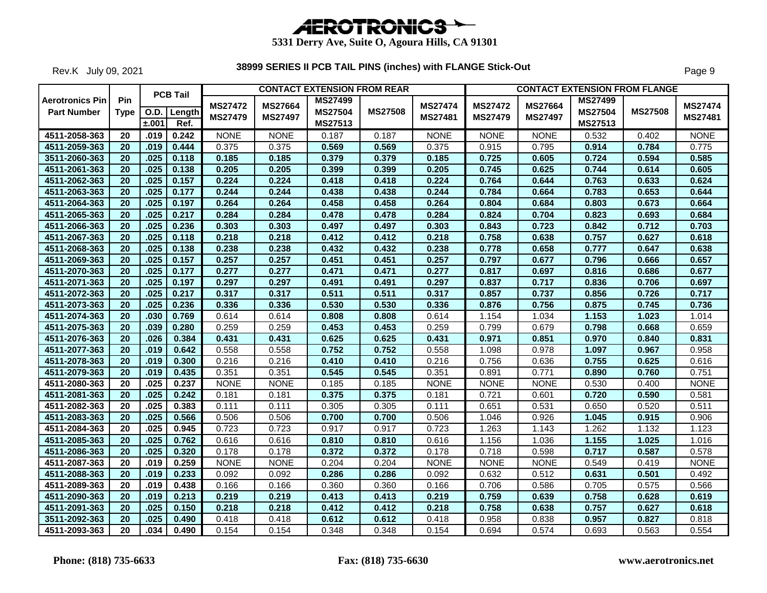

Rev.K July 09, 2021

|                                              |                    |       | <b>PCB Tail</b>       |                                  |                                  | <b>CONTACT EXTENSION FROM REAR</b>   |                |                           |                                  |                                  | <b>CONTACT EXTENSION FROM FLANGE</b>        |                |                           |
|----------------------------------------------|--------------------|-------|-----------------------|----------------------------------|----------------------------------|--------------------------------------|----------------|---------------------------|----------------------------------|----------------------------------|---------------------------------------------|----------------|---------------------------|
| <b>Aerotronics Pin</b><br><b>Part Number</b> | Pin<br><b>Type</b> | ±.001 | O.D.   Length<br>Ref. | <b>MS27472</b><br><b>MS27479</b> | <b>MS27664</b><br><b>MS27497</b> | <b>MS27499</b><br>MS27504<br>MS27513 | <b>MS27508</b> | <b>MS27474</b><br>MS27481 | <b>MS27472</b><br><b>MS27479</b> | <b>MS27664</b><br><b>MS27497</b> | <b>MS27499</b><br><b>MS27504</b><br>MS27513 | <b>MS27508</b> | <b>MS27474</b><br>MS27481 |
| 4511-2058-363                                | 20                 | .019  | 0.242                 | <b>NONE</b>                      | <b>NONE</b>                      | 0.187                                | 0.187          | <b>NONE</b>               | <b>NONE</b>                      | <b>NONE</b>                      | 0.532                                       | 0.402          | <b>NONE</b>               |
| 4511-2059-363                                | $\overline{20}$    | .019  | 0.444                 | 0.375                            | 0.375                            | 0.569                                | 0.569          | 0.375                     | 0.915                            | 0.795                            | 0.914                                       | 0.784          | 0.775                     |
| 3511-2060-363                                | 20                 | .025  | 0.118                 | 0.185                            | 0.185                            | 0.379                                | 0.379          | 0.185                     | 0.725                            | 0.605                            | 0.724                                       | 0.594          | 0.585                     |
| 4511-2061-363                                | 20                 | .025  | 0.138                 | 0.205                            | 0.205                            | 0.399                                | 0.399          | 0.205                     | 0.745                            | 0.625                            | 0.744                                       | 0.614          | 0.605                     |
| 4511-2062-363                                | 20                 | .025  | 0.157                 | 0.224                            | 0.224                            | 0.418                                | 0.418          | 0.224                     | 0.764                            | 0.644                            | 0.763                                       | 0.633          | 0.624                     |
| 4511-2063-363                                | 20                 | .025  | 0.177                 | 0.244                            | 0.244                            | 0.438                                | 0.438          | 0.244                     | 0.784                            | 0.664                            | 0.783                                       | 0.653          | 0.644                     |
| 4511-2064-363                                | $\overline{20}$    | .025  | 0.197                 | 0.264                            | 0.264                            | 0.458                                | 0.458          | 0.264                     | 0.804                            | 0.684                            | 0.803                                       | 0.673          | 0.664                     |
| 4511-2065-363                                | 20                 | .025  | 0.217                 | 0.284                            | 0.284                            | 0.478                                | 0.478          | 0.284                     | 0.824                            | 0.704                            | 0.823                                       | 0.693          | 0.684                     |
| 4511-2066-363                                | 20                 | .025  | 0.236                 | 0.303                            | 0.303                            | 0.497                                | 0.497          | 0.303                     | 0.843                            | 0.723                            | 0.842                                       | 0.712          | 0.703                     |
| 4511-2067-363                                | $\overline{20}$    | .025  | 0.118                 | 0.218                            | 0.218                            | 0.412                                | 0.412          | 0.218                     | 0.758                            | 0.638                            | 0.757                                       | 0.627          | 0.618                     |
| 4511-2068-363                                | 20                 | .025  | 0.138                 | 0.238                            | 0.238                            | 0.432                                | 0.432          | 0.238                     | 0.778                            | 0.658                            | 0.777                                       | 0.647          | 0.638                     |
| 4511-2069-363                                | 20                 | .025  | 0.157                 | 0.257                            | 0.257                            | 0.451                                | 0.451          | 0.257                     | 0.797                            | 0.677                            | 0.796                                       | 0.666          | 0.657                     |
| 4511-2070-363                                | $\overline{20}$    | .025  | 0.177                 | 0.277                            | 0.277                            | 0.471                                | 0.471          | 0.277                     | 0.817                            | 0.697                            | 0.816                                       | 0.686          | 0.677                     |
| 4511-2071-363                                | $\overline{20}$    | .025  | 0.197                 | 0.297                            | 0.297                            | 0.491                                | 0.491          | 0.297                     | 0.837                            | 0.717                            | 0.836                                       | 0.706          | 0.697                     |
| 4511-2072-363                                | 20                 | .025  | 0.217                 | 0.317                            | 0.317                            | 0.511                                | 0.511          | 0.317                     | 0.857                            | 0.737                            | 0.856                                       | 0.726          | 0.717                     |
| 4511-2073-363                                | $\overline{20}$    | .025  | 0.236                 | 0.336                            | 0.336                            | 0.530                                | 0.530          | 0.336                     | 0.876                            | 0.756                            | 0.875                                       | 0.745          | 0.736                     |
| 4511-2074-363                                | $\overline{20}$    | .030  | 0.769                 | 0.614                            | 0.614                            | 0.808                                | 0.808          | 0.614                     | 1.154                            | 1.034                            | 1.153                                       | 1.023          | 1.014                     |
| 4511-2075-363                                | $\overline{20}$    | .039  | 0.280                 | 0.259                            | 0.259                            | 0.453                                | 0.453          | 0.259                     | 0.799                            | 0.679                            | 0.798                                       | 0.668          | 0.659                     |
| 4511-2076-363                                | $\overline{20}$    | .026  | 0.384                 | 0.431                            | 0.431                            | 0.625                                | 0.625          | 0.431                     | 0.971                            | 0.851                            | 0.970                                       | 0.840          | 0.831                     |
| 4511-2077-363                                | 20                 | .019  | 0.642                 | 0.558                            | 0.558                            | 0.752                                | 0.752          | 0.558                     | 1.098                            | 0.978                            | 1.097                                       | 0.967          | 0.958                     |
| 4511-2078-363                                | $\overline{20}$    | .019  | 0.300                 | 0.216                            | 0.216                            | 0.410                                | 0.410          | 0.216                     | 0.756                            | 0.636                            | 0.755                                       | 0.625          | 0.616                     |
| 4511-2079-363                                | $\overline{20}$    | .019  | 0.435                 | 0.351                            | 0.351                            | 0.545                                | 0.545          | 0.351                     | 0.891                            | 0.771                            | 0.890                                       | 0.760          | 0.751                     |
| 4511-2080-363                                | $\overline{20}$    | .025  | 0.237                 | <b>NONE</b>                      | <b>NONE</b>                      | 0.185                                | 0.185          | <b>NONE</b>               | <b>NONE</b>                      | <b>NONE</b>                      | 0.530                                       | 0.400          | <b>NONE</b>               |
| 4511-2081-363                                | 20                 | .025  | 0.242                 | 0.181                            | 0.181                            | 0.375                                | 0.375          | 0.181                     | 0.721                            | 0.601                            | 0.720                                       | 0.590          | 0.581                     |
| 4511-2082-363                                | 20                 | .025  | 0.383                 | 0.111                            | 0.111                            | 0.305                                | 0.305          | 0.111                     | 0.651                            | 0.531                            | 0.650                                       | 0.520          | 0.511                     |
| 4511-2083-363                                | 20                 | .025  | 0.566                 | 0.506                            | 0.506                            | 0.700                                | 0.700          | 0.506                     | 1.046                            | 0.926                            | 1.045                                       | 0.915          | 0.906                     |
| 4511-2084-363                                | 20                 | .025  | 0.945                 | 0.723                            | 0.723                            | 0.917                                | 0.917          | 0.723                     | 1.263                            | 1.143                            | 1.262                                       | 1.132          | 1.123                     |
| 4511-2085-363                                | $\overline{20}$    | .025  | 0.762                 | 0.616                            | 0.616                            | 0.810                                | 0.810          | 0.616                     | 1.156                            | 1.036                            | 1.155                                       | 1.025          | 1.016                     |
| 4511-2086-363                                | 20                 | .025  | 0.320                 | 0.178                            | 0.178                            | 0.372                                | 0.372          | 0.178                     | 0.718                            | 0.598                            | 0.717                                       | 0.587          | 0.578                     |
| 4511-2087-363                                | 20                 | .019  | 0.259                 | <b>NONE</b>                      | <b>NONE</b>                      | 0.204                                | 0.204          | <b>NONE</b>               | <b>NONE</b>                      | <b>NONE</b>                      | 0.549                                       | 0.419          | <b>NONE</b>               |
| 4511-2088-363                                | 20                 | .019  | 0.233                 | 0.092                            | 0.092                            | 0.286                                | 0.286          | 0.092                     | 0.632                            | 0.512                            | 0.631                                       | 0.501          | 0.492                     |
| 4511-2089-363                                | 20                 | .019  | 0.438                 | 0.166                            | 0.166                            | 0.360                                | 0.360          | 0.166                     | 0.706                            | 0.586                            | 0.705                                       | 0.575          | 0.566                     |
| 4511-2090-363                                | 20                 | .019  | 0.213                 | 0.219                            | 0.219                            | 0.413                                | 0.413          | 0.219                     | 0.759                            | 0.639                            | 0.758                                       | 0.628          | 0.619                     |
| 4511-2091-363                                | 20                 | .025  | 0.150                 | 0.218                            | 0.218                            | 0.412                                | 0.412          | 0.218                     | 0.758                            | 0.638                            | 0.757                                       | 0.627          | 0.618                     |
| 3511-2092-363                                | $\overline{20}$    | .025  | 0.490                 | 0.418                            | 0.418                            | 0.612                                | 0.612          | 0.418                     | 0.958                            | 0.838                            | 0.957                                       | 0.827          | 0.818                     |
| 4511-2093-363                                | $\overline{20}$    | .034  | 0.490                 | 0.154                            | 0.154                            | 0.348                                | 0.348          | 0.154                     | 0.694                            | 0.574                            | 0.693                                       | 0.563          | 0.554                     |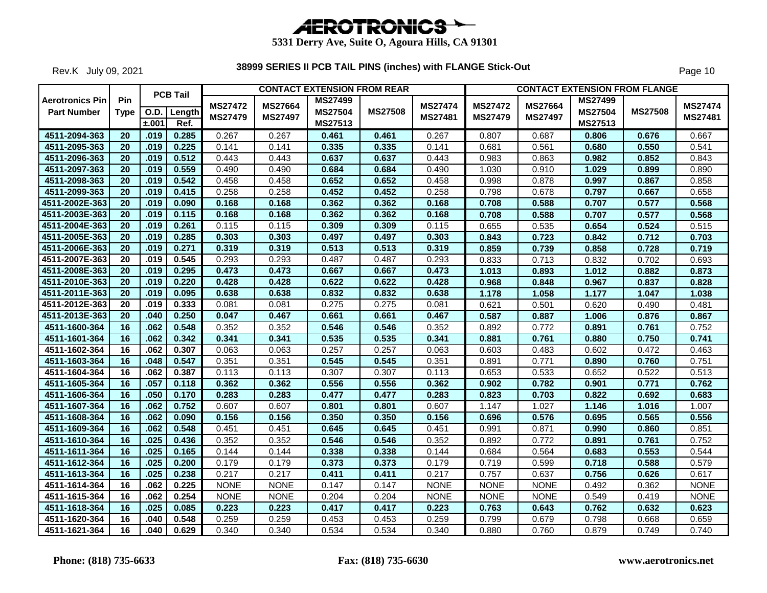

Rev.K July 09, 2021

|                                              |                    |       | <b>PCB Tail</b>       |                                  |                                  | <b>CONTACT EXTENSION FROM REAR</b>          |                |                                  |                                  |                           | <b>CONTACT EXTENSION FROM FLANGE</b>        |                |                           |
|----------------------------------------------|--------------------|-------|-----------------------|----------------------------------|----------------------------------|---------------------------------------------|----------------|----------------------------------|----------------------------------|---------------------------|---------------------------------------------|----------------|---------------------------|
| <b>Aerotronics Pin</b><br><b>Part Number</b> | Pin<br><b>Type</b> | ±.001 | O.D.   Length<br>Ref. | <b>MS27472</b><br><b>MS27479</b> | <b>MS27664</b><br><b>MS27497</b> | <b>MS27499</b><br><b>MS27504</b><br>MS27513 | <b>MS27508</b> | <b>MS27474</b><br><b>MS27481</b> | <b>MS27472</b><br><b>MS27479</b> | MS27664<br><b>MS27497</b> | <b>MS27499</b><br><b>MS27504</b><br>MS27513 | <b>MS27508</b> | <b>MS27474</b><br>MS27481 |
| 4511-2094-363                                | 20                 | .019  | 0.285                 | 0.267                            | 0.267                            | 0.461                                       | 0.461          | 0.267                            | 0.807                            | 0.687                     | 0.806                                       | 0.676          | 0.667                     |
| 4511-2095-363                                | 20                 | .019  | 0.225                 | 0.141                            | 0.141                            | 0.335                                       | 0.335          | 0.141                            | 0.681                            | 0.561                     | 0.680                                       | 0.550          | 0.541                     |
| 4511-2096-363                                | $\overline{20}$    | .019  | 0.512                 | 0.443                            | 0.443                            | 0.637                                       | 0.637          | 0.443                            | 0.983                            | 0.863                     | 0.982                                       | 0.852          | 0.843                     |
| 4511-2097-363                                | 20                 | .019  | 0.559                 | 0.490                            | 0.490                            | 0.684                                       | 0.684          | 0.490                            | 1.030                            | 0.910                     | 1.029                                       | 0.899          | 0.890                     |
| 4511-2098-363                                | $\overline{20}$    | .019  | 0.542                 | 0.458                            | 0.458                            | 0.652                                       | 0.652          | 0.458                            | 0.998                            | 0.878                     | 0.997                                       | 0.867          | 0.858                     |
| 4511-2099-363                                | 20                 | .019  | 0.415                 | 0.258                            | 0.258                            | 0.452                                       | 0.452          | 0.258                            | 0.798                            | 0.678                     | 0.797                                       | 0.667          | 0.658                     |
| 4511-2002E-363                               | $\overline{20}$    | .019  | 0.090                 | 0.168                            | 0.168                            | 0.362                                       | 0.362          | 0.168                            | 0.708                            | 0.588                     | 0.707                                       | 0.577          | 0.568                     |
| 4511-2003E-363                               | $\overline{20}$    | .019  | 0.115                 | 0.168                            | 0.168                            | 0.362                                       | 0.362          | 0.168                            | 0.708                            | 0.588                     | 0.707                                       | 0.577          | 0.568                     |
| 4511-2004E-363                               | 20                 | .019  | 0.261                 | 0.115                            | 0.115                            | 0.309                                       | 0.309          | 0.115                            | 0.655                            | 0.535                     | 0.654                                       | 0.524          | 0.515                     |
| 4511-2005E-363                               | $\overline{20}$    | .019  | 0.285                 | 0.303                            | 0.303                            | 0.497                                       | 0.497          | 0.303                            | 0.843                            | 0.723                     | 0.842                                       | 0.712          | 0.703                     |
| 4511-2006E-363                               | 20                 | .019  | 0.271                 | 0.319                            | 0.319                            | 0.513                                       | 0.513          | 0.319                            | 0.859                            | 0.739                     | 0.858                                       | 0.728          | 0.719                     |
| 4511-2007E-363                               | 20                 | .019  | 0.545                 | 0.293                            | 0.293                            | 0.487                                       | 0.487          | 0.293                            | 0.833                            | 0.713                     | 0.832                                       | 0.702          | 0.693                     |
| 4511-2008E-363                               | $\overline{20}$    | .019  | 0.295                 | 0.473                            | 0.473                            | 0.667                                       | 0.667          | 0.473                            | 1.013                            | 0.893                     | 1.012                                       | 0.882          | 0.873                     |
| 4511-2010E-363                               | $\overline{20}$    | .019  | 0.220                 | 0.428                            | 0.428                            | 0.622                                       | 0.622          | 0.428                            | 0.968                            | 0.848                     | 0.967                                       | 0.837          | 0.828                     |
| 4511-2011E-363                               | $\overline{20}$    | .019  | 0.095                 | 0.638                            | 0.638                            | 0.832                                       | 0.832          | 0.638                            | 1.178                            | 1.058                     | 1.177                                       | 1.047          | 1.038                     |
| 4511-2012E-363                               | 20                 | .019  | 0.333                 | 0.081                            | 0.081                            | 0.275                                       | 0.275          | 0.081                            | 0.621                            | 0.501                     | 0.620                                       | 0.490          | 0.481                     |
| 4511-2013E-363                               | 20                 | .040  | 0.250                 | 0.047                            | 0.467                            | 0.661                                       | 0.661          | 0.467                            | 0.587                            | 0.887                     | 1.006                                       | 0.876          | 0.867                     |
| 4511-1600-364                                | 16                 | .062  | 0.548                 | 0.352                            | 0.352                            | 0.546                                       | 0.546          | 0.352                            | 0.892                            | 0.772                     | 0.891                                       | 0.761          | 0.752                     |
| 4511-1601-364                                | 16                 | .062  | 0.342                 | 0.341                            | 0.341                            | 0.535                                       | 0.535          | 0.341                            | 0.881                            | 0.761                     | 0.880                                       | 0.750          | 0.741                     |
| 4511-1602-364                                | 16                 | .062  | 0.307                 | 0.063                            | 0.063                            | 0.257                                       | 0.257          | 0.063                            | 0.603                            | 0.483                     | 0.602                                       | 0.472          | 0.463                     |
| 4511-1603-364                                | 16                 | .048  | 0.547                 | 0.351                            | 0.351                            | 0.545                                       | 0.545          | 0.351                            | 0.891                            | 0.771                     | 0.890                                       | 0.760          | 0.751                     |
| 4511-1604-364                                | 16                 | .062  | 0.387                 | 0.113                            | 0.113                            | 0.307                                       | 0.307          | 0.113                            | 0.653                            | 0.533                     | 0.652                                       | 0.522          | 0.513                     |
| 4511-1605-364                                | 16                 | .057  | 0.118                 | 0.362                            | 0.362                            | 0.556                                       | 0.556          | 0.362                            | 0.902                            | 0.782                     | 0.901                                       | 0.771          | 0.762                     |
| 4511-1606-364                                | $\overline{16}$    | .050  | 0.170                 | 0.283                            | 0.283                            | 0.477                                       | 0.477          | 0.283                            | 0.823                            | 0.703                     | 0.822                                       | 0.692          | 0.683                     |
| 4511-1607-364                                | 16                 | .062  | 0.752                 | 0.607                            | 0.607                            | 0.801                                       | 0.801          | 0.607                            | 1.147                            | 1.027                     | 1.146                                       | 1.016          | 1.007                     |
| 4511-1608-364                                | 16                 | .062  | 0.090                 | 0.156                            | 0.156                            | 0.350                                       | 0.350          | 0.156                            | 0.696                            | 0.576                     | 0.695                                       | 0.565          | 0.556                     |
| 4511-1609-364                                | 16                 | .062  | 0.548                 | 0.451                            | 0.451                            | 0.645                                       | 0.645          | 0.451                            | 0.991                            | 0.871                     | 0.990                                       | 0.860          | 0.851                     |
| 4511-1610-364                                | 16                 | .025  | 0.436                 | 0.352                            | 0.352                            | 0.546                                       | 0.546          | 0.352                            | 0.892                            | 0.772                     | 0.891                                       | 0.761          | 0.752                     |
| 4511-1611-364                                | 16                 | .025  | 0.165                 | 0.144                            | 0.144                            | 0.338                                       | 0.338          | 0.144                            | 0.684                            | 0.564                     | 0.683                                       | 0.553          | 0.544                     |
| 4511-1612-364                                | 16                 | .025  | 0.200                 | 0.179                            | 0.179                            | 0.373                                       | 0.373          | 0.179                            | 0.719                            | 0.599                     | 0.718                                       | 0.588          | 0.579                     |
| 4511-1613-364                                | 16                 | .025  | 0.238                 | 0.217                            | 0.217                            | 0.411                                       | 0.411          | 0.217                            | 0.757                            | 0.637                     | 0.756                                       | 0.626          | 0.617                     |
| 4511-1614-364                                | 16                 | .062  | 0.225                 | <b>NONE</b>                      | <b>NONE</b>                      | 0.147                                       | 0.147          | <b>NONE</b>                      | <b>NONE</b>                      | <b>NONE</b>               | 0.492                                       | 0.362          | <b>NONE</b>               |
| 4511-1615-364                                | 16                 | .062  | 0.254                 | <b>NONE</b>                      | <b>NONE</b>                      | 0.204                                       | 0.204          | <b>NONE</b>                      | <b>NONE</b>                      | <b>NONE</b>               | 0.549                                       | 0.419          | <b>NONE</b>               |
| 4511-1618-364                                | 16                 | .025  | 0.085                 | 0.223                            | 0.223                            | 0.417                                       | 0.417          | 0.223                            | 0.763                            | 0.643                     | 0.762                                       | 0.632          | 0.623                     |
| 4511-1620-364                                | 16                 | .040  | 0.548                 | 0.259                            | 0.259                            | 0.453                                       | 0.453          | 0.259                            | 0.799                            | 0.679                     | 0.798                                       | 0.668          | 0.659                     |
| 4511-1621-364                                | 16                 | .040  | 0.629                 | 0.340                            | 0.340                            | 0.534                                       | 0.534          | 0.340                            | 0.880                            | 0.760                     | 0.879                                       | 0.749          | 0.740                     |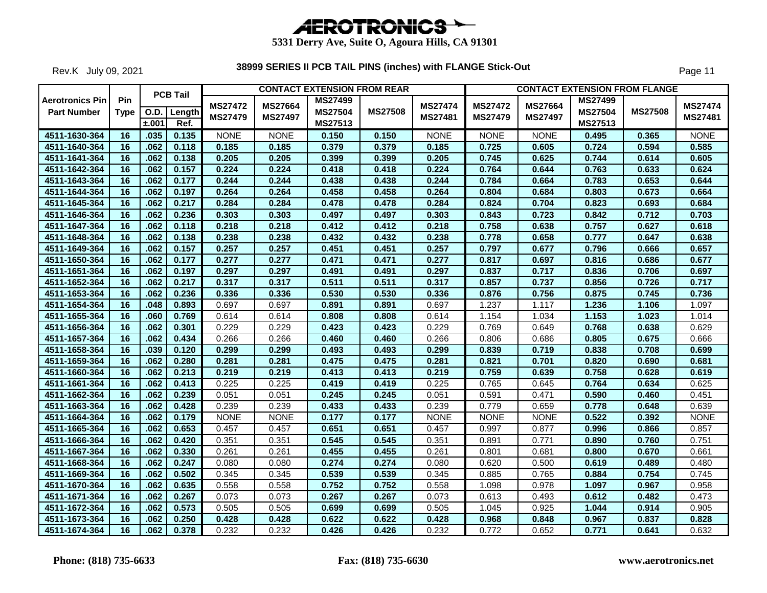

Rev.K July 09, 2021

|                                              |                    |       | <b>PCB Tail</b>       |                                  |                                  | <b>CONTACT EXTENSION FROM REAR</b>          |                |                           |                                  |                                  |                                             | <b>CONTACT EXTENSION FROM FLANGE</b> |                           |
|----------------------------------------------|--------------------|-------|-----------------------|----------------------------------|----------------------------------|---------------------------------------------|----------------|---------------------------|----------------------------------|----------------------------------|---------------------------------------------|--------------------------------------|---------------------------|
| <b>Aerotronics Pin</b><br><b>Part Number</b> | Pin<br><b>Type</b> | ±.001 | O.D.   Length<br>Ref. | <b>MS27472</b><br><b>MS27479</b> | <b>MS27664</b><br><b>MS27497</b> | <b>MS27499</b><br><b>MS27504</b><br>MS27513 | <b>MS27508</b> | <b>MS27474</b><br>MS27481 | <b>MS27472</b><br><b>MS27479</b> | <b>MS27664</b><br><b>MS27497</b> | <b>MS27499</b><br><b>MS27504</b><br>MS27513 | <b>MS27508</b>                       | <b>MS27474</b><br>MS27481 |
| 4511-1630-364                                | 16                 | .035  | 0.135                 | <b>NONE</b>                      | <b>NONE</b>                      | 0.150                                       | 0.150          | <b>NONE</b>               | <b>NONE</b>                      | <b>NONE</b>                      | 0.495                                       | 0.365                                | <b>NONE</b>               |
| 4511-1640-364                                | 16                 | .062  | 0.118                 | 0.185                            | 0.185                            | 0.379                                       | 0.379          | 0.185                     | 0.725                            | 0.605                            | 0.724                                       | 0.594                                | 0.585                     |
| 4511-1641-364                                | 16                 | .062  | 0.138                 | 0.205                            | 0.205                            | 0.399                                       | 0.399          | 0.205                     | 0.745                            | 0.625                            | 0.744                                       | 0.614                                | 0.605                     |
| 4511-1642-364                                | 16                 | .062  | 0.157                 | 0.224                            | 0.224                            | 0.418                                       | 0.418          | 0.224                     | 0.764                            | 0.644                            | 0.763                                       | 0.633                                | 0.624                     |
| 4511-1643-364                                | 16                 | .062  | 0.177                 | 0.244                            | 0.244                            | 0.438                                       | 0.438          | 0.244                     | 0.784                            | 0.664                            | 0.783                                       | 0.653                                | 0.644                     |
| 4511-1644-364                                | 16                 | .062  | 0.197                 | 0.264                            | 0.264                            | 0.458                                       | 0.458          | 0.264                     | 0.804                            | 0.684                            | 0.803                                       | 0.673                                | 0.664                     |
| 4511-1645-364                                | 16                 | .062  | 0.217                 | 0.284                            | 0.284                            | 0.478                                       | 0.478          | 0.284                     | 0.824                            | 0.704                            | 0.823                                       | 0.693                                | 0.684                     |
| 4511-1646-364                                | 16                 | .062  | 0.236                 | 0.303                            | 0.303                            | 0.497                                       | 0.497          | 0.303                     | 0.843                            | 0.723                            | 0.842                                       | 0.712                                | 0.703                     |
| 4511-1647-364                                | 16                 | .062  | 0.118                 | 0.218                            | 0.218                            | 0.412                                       | 0.412          | 0.218                     | 0.758                            | 0.638                            | 0.757                                       | 0.627                                | 0.618                     |
| 4511-1648-364                                | 16                 | .062  | 0.138                 | 0.238                            | 0.238                            | 0.432                                       | 0.432          | 0.238                     | 0.778                            | 0.658                            | 0.777                                       | 0.647                                | 0.638                     |
| 4511-1649-364                                | 16                 | .062  | 0.157                 | 0.257                            | 0.257                            | 0.451                                       | 0.451          | 0.257                     | 0.797                            | 0.677                            | 0.796                                       | 0.666                                | 0.657                     |
| 4511-1650-364                                | 16                 | .062  | 0.177                 | 0.277                            | 0.277                            | 0.471                                       | 0.471          | 0.277                     | 0.817                            | 0.697                            | 0.816                                       | 0.686                                | 0.677                     |
| 4511-1651-364                                | 16                 | .062  | 0.197                 | 0.297                            | 0.297                            | 0.491                                       | 0.491          | 0.297                     | 0.837                            | 0.717                            | 0.836                                       | 0.706                                | 0.697                     |
| 4511-1652-364                                | 16                 | .062  | 0.217                 | 0.317                            | 0.317                            | 0.511                                       | 0.511          | 0.317                     | 0.857                            | 0.737                            | 0.856                                       | 0.726                                | 0.717                     |
| 4511-1653-364                                | 16                 | .062  | 0.236                 | 0.336                            | 0.336                            | 0.530                                       | 0.530          | 0.336                     | 0.876                            | 0.756                            | 0.875                                       | 0.745                                | 0.736                     |
| 4511-1654-364                                | 16                 | .048  | 0.893                 | 0.697                            | 0.697                            | 0.891                                       | 0.891          | 0.697                     | 1.237                            | 1.117                            | 1.236                                       | 1.106                                | 1.097                     |
| 4511-1655-364                                | 16                 | .060  | 0.769                 | 0.614                            | 0.614                            | 0.808                                       | 0.808          | 0.614                     | 1.154                            | 1.034                            | 1.153                                       | 1.023                                | 1.014                     |
| 4511-1656-364                                | 16                 | .062  | 0.301                 | 0.229                            | 0.229                            | 0.423                                       | 0.423          | 0.229                     | 0.769                            | 0.649                            | 0.768                                       | 0.638                                | 0.629                     |
| 4511-1657-364                                | 16                 | .062  | 0.434                 | 0.266                            | 0.266                            | 0.460                                       | 0.460          | 0.266                     | 0.806                            | 0.686                            | 0.805                                       | 0.675                                | 0.666                     |
| 4511-1658-364                                | $\overline{16}$    | .039  | 0.120                 | 0.299                            | 0.299                            | 0.493                                       | 0.493          | 0.299                     | 0.839                            | 0.719                            | 0.838                                       | 0.708                                | 0.699                     |
| 4511-1659-364                                | $\overline{16}$    | .062  | 0.280                 | 0.281                            | 0.281                            | 0.475                                       | 0.475          | 0.281                     | 0.821                            | 0.701                            | 0.820                                       | 0.690                                | 0.681                     |
| 4511-1660-364                                | 16                 | .062  | 0.213                 | 0.219                            | 0.219                            | 0.413                                       | 0.413          | 0.219                     | 0.759                            | 0.639                            | 0.758                                       | 0.628                                | 0.619                     |
| 4511-1661-364                                | 16                 | .062  | 0.413                 | 0.225                            | 0.225                            | 0.419                                       | 0.419          | 0.225                     | 0.765                            | 0.645                            | 0.764                                       | 0.634                                | 0.625                     |
| 4511-1662-364                                | 16                 | .062  | 0.239                 | 0.051                            | 0.051                            | 0.245                                       | 0.245          | 0.051                     | 0.591                            | 0.471                            | 0.590                                       | 0.460                                | 0.451                     |
| 4511-1663-364                                | 16                 | .062  | 0.428                 | 0.239                            | 0.239                            | 0.433                                       | 0.433          | 0.239                     | 0.779                            | 0.659                            | 0.778                                       | 0.648                                | 0.639                     |
| 4511-1664-364                                | 16                 | .062  | 0.179                 | <b>NONE</b>                      | <b>NONE</b>                      | 0.177                                       | 0.177          | <b>NONE</b>               | <b>NONE</b>                      | <b>NONE</b>                      | 0.522                                       | 0.392                                | <b>NONE</b>               |
| 4511-1665-364                                | 16                 | .062  | 0.653                 | 0.457                            | 0.457                            | 0.651                                       | 0.651          | 0.457                     | 0.997                            | 0.877                            | 0.996                                       | 0.866                                | 0.857                     |
| 4511-1666-364                                | 16                 | .062  | 0.420                 | 0.351                            | 0.351                            | 0.545                                       | 0.545          | 0.351                     | 0.891                            | 0.771                            | 0.890                                       | 0.760                                | 0.751                     |
| 4511-1667-364                                | 16                 | .062  | 0.330                 | 0.261                            | 0.261                            | 0.455                                       | 0.455          | 0.261                     | 0.801                            | 0.681                            | 0.800                                       | 0.670                                | 0.661                     |
| 4511-1668-364                                | 16                 | .062  | 0.247                 | 0.080                            | 0.080                            | 0.274                                       | 0.274          | 0.080                     | 0.620                            | 0.500                            | 0.619                                       | 0.489                                | 0.480                     |
| 4511-1669-364                                | 16                 | .062  | 0.502                 | 0.345                            | 0.345                            | 0.539                                       | 0.539          | 0.345                     | 0.885                            | 0.765                            | 0.884                                       | 0.754                                | 0.745                     |
| 4511-1670-364                                | 16                 | .062  | 0.635                 | 0.558                            | 0.558                            | 0.752                                       | 0.752          | 0.558                     | 1.098                            | 0.978                            | 1.097                                       | 0.967                                | 0.958                     |
| 4511-1671-364                                | 16                 | .062  | 0.267                 | 0.073                            | 0.073                            | 0.267                                       | 0.267          | 0.073                     | 0.613                            | 0.493                            | 0.612                                       | 0.482                                | 0.473                     |
| 4511-1672-364                                | 16                 | .062  | 0.573                 | 0.505                            | 0.505                            | 0.699                                       | 0.699          | 0.505                     | 1.045                            | 0.925                            | 1.044                                       | 0.914                                | 0.905                     |
| 4511-1673-364                                | 16                 | .062  | 0.250                 | 0.428                            | 0.428                            | 0.622                                       | 0.622          | 0.428                     | 0.968                            | 0.848                            | 0.967                                       | 0.837                                | 0.828                     |
| 4511-1674-364                                | $\overline{16}$    | .062  | 0.378                 | 0.232                            | 0.232                            | 0.426                                       | 0.426          | 0.232                     | 0.772                            | 0.652                            | 0.771                                       | 0.641                                | 0.632                     |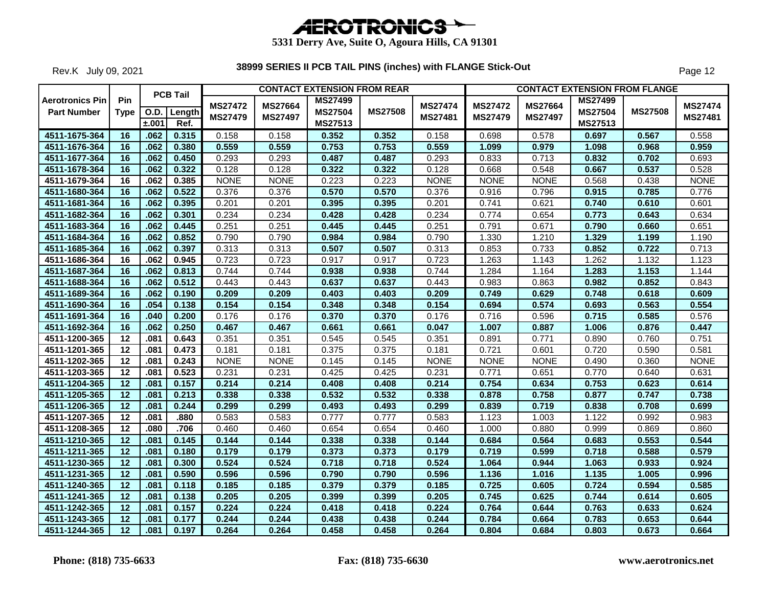

Rev.K July 09, 2021

|                                              |                    |       | <b>PCB Tail</b> |                |                | <b>CONTACT EXTENSION FROM REAR</b> |                |                |                |                | <b>CONTACT EXTENSION FROM FLANGE</b> |                |                |
|----------------------------------------------|--------------------|-------|-----------------|----------------|----------------|------------------------------------|----------------|----------------|----------------|----------------|--------------------------------------|----------------|----------------|
| <b>Aerotronics Pin</b><br><b>Part Number</b> | Pin<br><b>Type</b> |       | O.D.   Length   | <b>MS27472</b> | <b>MS27664</b> | <b>MS27499</b><br><b>MS27504</b>   | <b>MS27508</b> | <b>MS27474</b> | <b>MS27472</b> | MS27664        | <b>MS27499</b><br><b>MS27504</b>     | <b>MS27508</b> | <b>MS27474</b> |
|                                              |                    | ±.001 | Ref.            | <b>MS27479</b> | <b>MS27497</b> | MS27513                            |                | MS27481        | <b>MS27479</b> | <b>MS27497</b> | MS27513                              |                | MS27481        |
| 4511-1675-364                                | 16                 | .062  | 0.315           | 0.158          | 0.158          | 0.352                              | 0.352          | 0.158          | 0.698          | 0.578          | 0.697                                | 0.567          | 0.558          |
| 4511-1676-364                                | 16                 | .062  | 0.380           | 0.559          | 0.559          | 0.753                              | 0.753          | 0.559          | 1.099          | 0.979          | 1.098                                | 0.968          | 0.959          |
| 4511-1677-364                                | 16                 | .062  | 0.450           | 0.293          | 0.293          | 0.487                              | 0.487          | 0.293          | 0.833          | 0.713          | 0.832                                | 0.702          | 0.693          |
| 4511-1678-364                                | 16                 | .062  | 0.322           | 0.128          | 0.128          | 0.322                              | 0.322          | 0.128          | 0.668          | 0.548          | 0.667                                | 0.537          | 0.528          |
| 4511-1679-364                                | 16                 | .062  | 0.385           | <b>NONE</b>    | <b>NONE</b>    | 0.223                              | 0.223          | <b>NONE</b>    | <b>NONE</b>    | <b>NONE</b>    | 0.568                                | 0.438          | <b>NONE</b>    |
| 4511-1680-364                                | 16                 | .062  | 0.522           | 0.376          | 0.376          | 0.570                              | 0.570          | 0.376          | 0.916          | 0.796          | 0.915                                | 0.785          | 0.776          |
| 4511-1681-364                                | $\overline{16}$    | .062  | 0.395           | 0.201          | 0.201          | 0.395                              | 0.395          | 0.201          | 0.741          | 0.621          | 0.740                                | 0.610          | 0.601          |
| 4511-1682-364                                | 16                 | .062  | 0.301           | 0.234          | 0.234          | 0.428                              | 0.428          | 0.234          | 0.774          | 0.654          | 0.773                                | 0.643          | 0.634          |
| 4511-1683-364                                | 16                 | .062  | 0.445           | 0.251          | 0.251          | 0.445                              | 0.445          | 0.251          | 0.791          | 0.671          | 0.790                                | 0.660          | 0.651          |
| 4511-1684-364                                | 16                 | .062  | 0.852           | 0.790          | 0.790          | 0.984                              | 0.984          | 0.790          | 1.330          | 1.210          | 1.329                                | 1.199          | 1.190          |
| 4511-1685-364                                | 16                 | .062  | 0.397           | 0.313          | 0.313          | 0.507                              | 0.507          | 0.313          | 0.853          | 0.733          | 0.852                                | 0.722          | 0.713          |
| 4511-1686-364                                | 16                 | .062  | 0.945           | 0.723          | 0.723          | 0.917                              | 0.917          | 0.723          | 1.263          | 1.143          | 1.262                                | 1.132          | 1.123          |
| 4511-1687-364                                | 16                 | .062  | 0.813           | 0.744          | 0.744          | 0.938                              | 0.938          | 0.744          | 1.284          | 1.164          | 1.283                                | 1.153          | 1.144          |
| 4511-1688-364                                | 16                 | .062  | 0.512           | 0.443          | 0.443          | 0.637                              | 0.637          | 0.443          | 0.983          | 0.863          | 0.982                                | 0.852          | 0.843          |
| 4511-1689-364                                | 16                 | .062  | 0.190           | 0.209          | 0.209          | 0.403                              | 0.403          | 0.209          | 0.749          | 0.629          | 0.748                                | 0.618          | 0.609          |
| 4511-1690-364                                | $\overline{16}$    | .054  | 0.138           | 0.154          | 0.154          | 0.348                              | 0.348          | 0.154          | 0.694          | 0.574          | 0.693                                | 0.563          | 0.554          |
| 4511-1691-364                                | 16                 | .040  | 0.200           | 0.176          | 0.176          | 0.370                              | 0.370          | 0.176          | 0.716          | 0.596          | 0.715                                | 0.585          | 0.576          |
| 4511-1692-364                                | 16                 | .062  | 0.250           | 0.467          | 0.467          | 0.661                              | 0.661          | 0.047          | 1.007          | 0.887          | 1.006                                | 0.876          | 0.447          |
| 4511-1200-365                                | 12                 | .081  | 0.643           | 0.351          | 0.351          | 0.545                              | 0.545          | 0.351          | 0.891          | 0.771          | 0.890                                | 0.760          | 0.751          |
| 4511-1201-365                                | 12                 | .081  | 0.473           | 0.181          | 0.181          | 0.375                              | 0.375          | 0.181          | 0.721          | 0.601          | 0.720                                | 0.590          | 0.581          |
| 4511-1202-365                                | $\overline{12}$    | .081  | 0.243           | <b>NONE</b>    | <b>NONE</b>    | 0.145                              | 0.145          | <b>NONE</b>    | <b>NONE</b>    | <b>NONE</b>    | 0.490                                | 0.360          | <b>NONE</b>    |
| 4511-1203-365                                | 12                 | .081  | 0.523           | 0.231          | 0.231          | 0.425                              | 0.425          | 0.231          | 0.771          | 0.651          | 0.770                                | 0.640          | 0.631          |
| 4511-1204-365                                | $\overline{12}$    | .081  | 0.157           | 0.214          | 0.214          | 0.408                              | 0.408          | 0.214          | 0.754          | 0.634          | 0.753                                | 0.623          | 0.614          |
| 4511-1205-365                                | 12                 | .081  | 0.213           | 0.338          | 0.338          | 0.532                              | 0.532          | 0.338          | 0.878          | 0.758          | 0.877                                | 0.747          | 0.738          |
| 4511-1206-365                                | 12                 | .081  | 0.244           | 0.299          | 0.299          | 0.493                              | 0.493          | 0.299          | 0.839          | 0.719          | 0.838                                | 0.708          | 0.699          |
| 4511-1207-365                                | 12                 | .081  | .880            | 0.583          | 0.583          | 0.777                              | 0.777          | 0.583          | 1.123          | 1.003          | 1.122                                | 0.992          | 0.983          |
| 4511-1208-365                                | 12                 | .080  | .706            | 0.460          | 0.460          | 0.654                              | 0.654          | 0.460          | 1.000          | 0.880          | 0.999                                | 0.869          | 0.860          |
| 4511-1210-365                                | $\overline{12}$    | .081  | 0.145           | 0.144          | 0.144          | 0.338                              | 0.338          | 0.144          | 0.684          | 0.564          | 0.683                                | 0.553          | 0.544          |
| 4511-1211-365                                | 12                 | .081  | 0.180           | 0.179          | 0.179          | 0.373                              | 0.373          | 0.179          | 0.719          | 0.599          | 0.718                                | 0.588          | 0.579          |
| 4511-1230-365                                | 12                 | .081  | 0.300           | 0.524          | 0.524          | 0.718                              | 0.718          | 0.524          | 1.064          | 0.944          | 1.063                                | 0.933          | 0.924          |
| 4511-1231-365                                | 12                 | .081  | 0.590           | 0.596          | 0.596          | 0.790                              | 0.790          | 0.596          | 1.136          | 1.016          | 1.135                                | 1.005          | 0.996          |
| 4511-1240-365                                | 12                 | .081  | 0.118           | 0.185          | 0.185          | 0.379                              | 0.379          | 0.185          | 0.725          | 0.605          | 0.724                                | 0.594          | 0.585          |
| 4511-1241-365                                | 12                 | .081  | 0.138           | 0.205          | 0.205          | 0.399                              | 0.399          | 0.205          | 0.745          | 0.625          | 0.744                                | 0.614          | 0.605          |
| 4511-1242-365                                | 12                 | .081  | 0.157           | 0.224          | 0.224          | 0.418                              | 0.418          | 0.224          | 0.764          | 0.644          | 0.763                                | 0.633          | 0.624          |
| 4511-1243-365                                | $\overline{12}$    | .081  | 0.177           | 0.244          | 0.244          | 0.438                              | 0.438          | 0.244          | 0.784          | 0.664          | 0.783                                | 0.653          | 0.644          |
| 4511-1244-365                                | $\overline{12}$    | .081  | 0.197           | 0.264          | 0.264          | 0.458                              | 0.458          | 0.264          | 0.804          | 0.684          | 0.803                                | 0.673          | 0.664          |